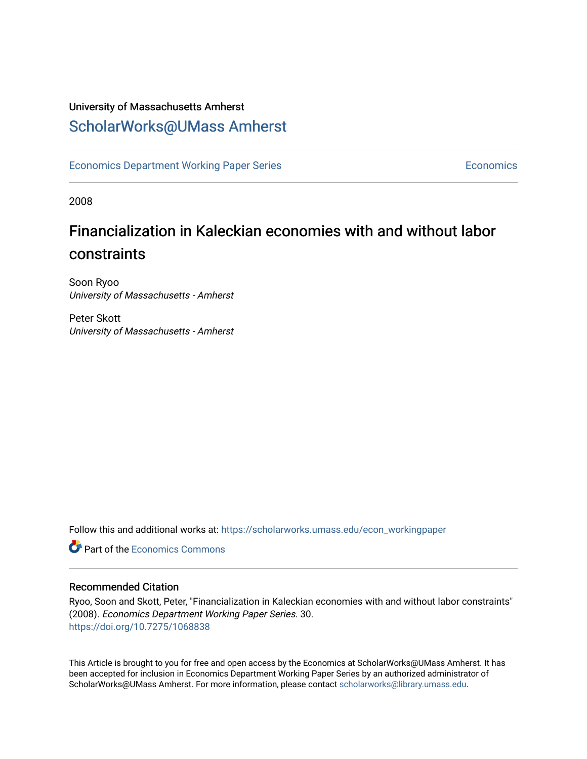## University of Massachusetts Amherst [ScholarWorks@UMass Amherst](https://scholarworks.umass.edu/)

[Economics Department Working Paper Series](https://scholarworks.umass.edu/econ_workingpaper) **Economics** Economics

2008

## Financialization in Kaleckian economies with and without labor constraints

Soon Ryoo University of Massachusetts - Amherst

Peter Skott University of Massachusetts - Amherst

Follow this and additional works at: [https://scholarworks.umass.edu/econ\\_workingpaper](https://scholarworks.umass.edu/econ_workingpaper?utm_source=scholarworks.umass.edu%2Fecon_workingpaper%2F30&utm_medium=PDF&utm_campaign=PDFCoverPages) 

**C** Part of the [Economics Commons](http://network.bepress.com/hgg/discipline/340?utm_source=scholarworks.umass.edu%2Fecon_workingpaper%2F30&utm_medium=PDF&utm_campaign=PDFCoverPages)

### Recommended Citation

Ryoo, Soon and Skott, Peter, "Financialization in Kaleckian economies with and without labor constraints" (2008). Economics Department Working Paper Series. 30. <https://doi.org/10.7275/1068838>

This Article is brought to you for free and open access by the Economics at ScholarWorks@UMass Amherst. It has been accepted for inclusion in Economics Department Working Paper Series by an authorized administrator of ScholarWorks@UMass Amherst. For more information, please contact [scholarworks@library.umass.edu.](mailto:scholarworks@library.umass.edu)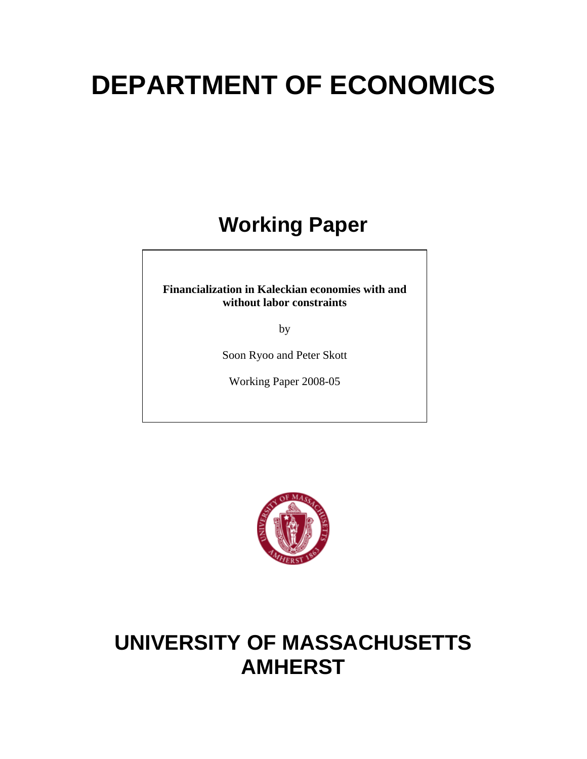# **DEPARTMENT OF ECONOMICS**

## **Working Paper**

**Financialization in Kaleckian economies with and without labor constraints** 

by

Soon Ryoo and Peter Skott

Working Paper 2008-05



## **UNIVERSITY OF MASSACHUSETTS AMHERST**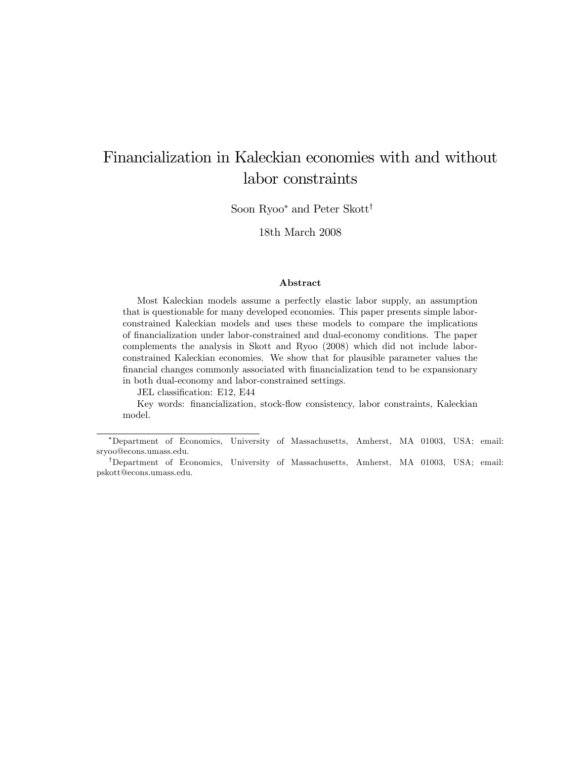## Financialization in Kaleckian economies with and without labor constraints

Soon Ryoo\* and Peter Skott $^{\dagger}$ 

18th March 2008

#### Abstract

Most Kaleckian models assume a perfectly elastic labor supply, an assumption that is questionable for many developed economies. This paper presents simple laborconstrained Kaleckian models and uses these models to compare the implications of Önancialization under labor-constrained and dual-economy conditions. The paper complements the analysis in Skott and Ryoo (2008) which did not include laborconstrained Kaleckian economies. We show that for plausible parameter values the Önancial changes commonly associated with Önancialization tend to be expansionary in both dual-economy and labor-constrained settings.

JEL classification: E12, E44

Key words: Önancialization, stock-áow consistency, labor constraints, Kaleckian model.

Department of Economics, University of Massachusetts, Amherst, MA 01003, USA; email: sryoo@econs.umass.edu.

<sup>&</sup>lt;sup>†</sup>Department of Economics, University of Massachusetts, Amherst, MA 01003, USA; email: pskott@econs.umass.edu.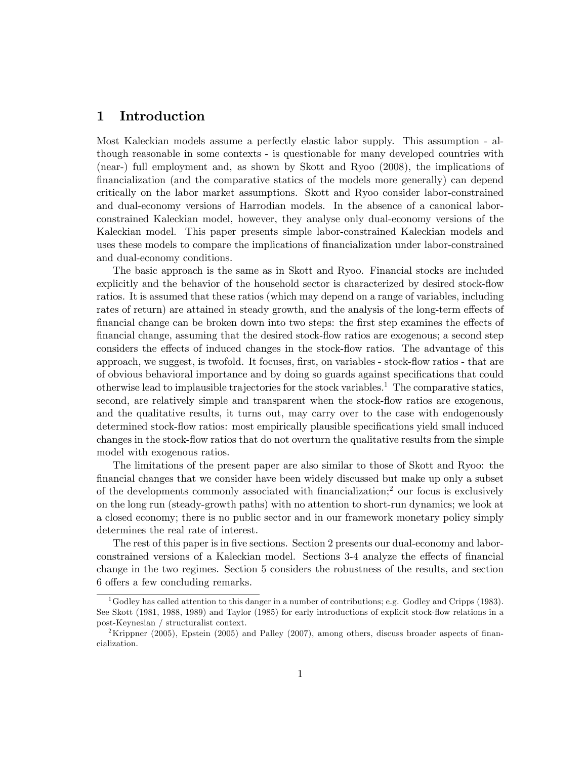## 1 Introduction

Most Kaleckian models assume a perfectly elastic labor supply. This assumption - although reasonable in some contexts - is questionable for many developed countries with (near-) full employment and, as shown by Skott and Ryoo (2008), the implications of Önancialization (and the comparative statics of the models more generally) can depend critically on the labor market assumptions. Skott and Ryoo consider labor-constrained and dual-economy versions of Harrodian models. In the absence of a canonical laborconstrained Kaleckian model, however, they analyse only dual-economy versions of the Kaleckian model. This paper presents simple labor-constrained Kaleckian models and uses these models to compare the implications of Önancialization under labor-constrained and dual-economy conditions.

The basic approach is the same as in Skott and Ryoo. Financial stocks are included explicitly and the behavior of the household sector is characterized by desired stock-flow ratios. It is assumed that these ratios (which may depend on a range of variables, including rates of return) are attained in steady growth, and the analysis of the long-term effects of financial change can be broken down into two steps: the first step examines the effects of financial change, assuming that the desired stock-flow ratios are exogenous; a second step considers the effects of induced changes in the stock-flow ratios. The advantage of this approach, we suggest, is twofold. It focuses, first, on variables - stock-flow ratios - that are of obvious behavioral importance and by doing so guards against specifications that could otherwise lead to implausible trajectories for the stock variables.<sup>1</sup> The comparative statics, second, are relatively simple and transparent when the stock-flow ratios are exogenous, and the qualitative results, it turns out, may carry over to the case with endogenously determined stock-flow ratios: most empirically plausible specifications yield small induced changes in the stock-áow ratios that do not overturn the qualitative results from the simple model with exogenous ratios.

The limitations of the present paper are also similar to those of Skott and Ryoo: the Önancial changes that we consider have been widely discussed but make up only a subset of the developments commonly associated with financialization;<sup>2</sup> our focus is exclusively on the long run (steady-growth paths) with no attention to short-run dynamics; we look at a closed economy; there is no public sector and in our framework monetary policy simply determines the real rate of interest.

The rest of this paper is in five sections. Section 2 presents our dual-economy and laborconstrained versions of a Kaleckian model. Sections 3-4 analyze the effects of financial change in the two regimes. Section 5 considers the robustness of the results, and section 6 offers a few concluding remarks.

<sup>&</sup>lt;sup>1</sup>Godley has called attention to this danger in a number of contributions; e.g. Godley and Cripps (1983). See Skott (1981, 1988, 1989) and Taylor (1985) for early introductions of explicit stock-flow relations in a post-Keynesian / structuralist context.

<sup>&</sup>lt;sup>2</sup>Krippner (2005), Epstein (2005) and Palley (2007), among others, discuss broader aspects of financialization.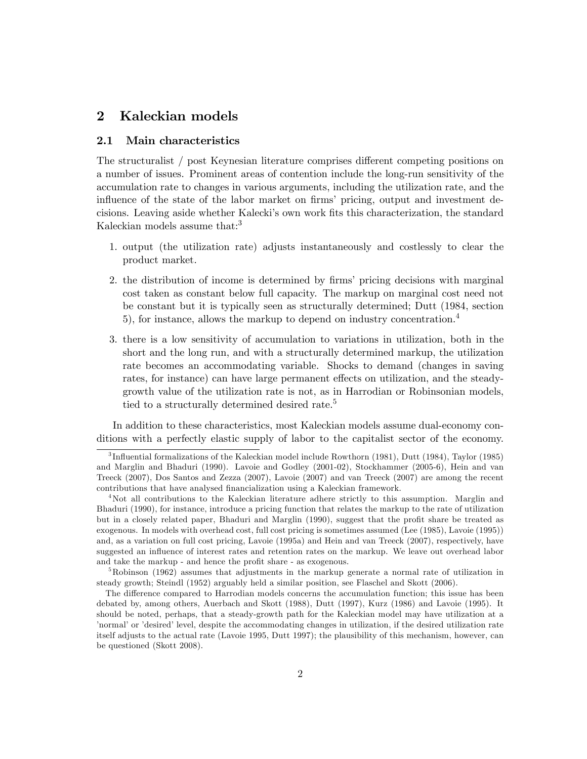## 2 Kaleckian models

### 2.1 Main characteristics

The structuralist / post Keynesian literature comprises different competing positions on a number of issues. Prominent areas of contention include the long-run sensitivity of the accumulation rate to changes in various arguments, including the utilization rate, and the influence of the state of the labor market on firms' pricing, output and investment decisions. Leaving aside whether Kalecki's own work fits this characterization, the standard Kaleckian models assume that:<sup>3</sup>

- 1. output (the utilization rate) adjusts instantaneously and costlessly to clear the product market.
- 2. the distribution of income is determined by firms' pricing decisions with marginal cost taken as constant below full capacity. The markup on marginal cost need not be constant but it is typically seen as structurally determined; Dutt (1984, section 5), for instance, allows the markup to depend on industry concentration.<sup>4</sup>
- 3. there is a low sensitivity of accumulation to variations in utilization, both in the short and the long run, and with a structurally determined markup, the utilization rate becomes an accommodating variable. Shocks to demand (changes in saving rates, for instance) can have large permanent effects on utilization, and the steadygrowth value of the utilization rate is not, as in Harrodian or Robinsonian models, tied to a structurally determined desired rate.<sup>5</sup>

In addition to these characteristics, most Kaleckian models assume dual-economy conditions with a perfectly elastic supply of labor to the capitalist sector of the economy.

<sup>&</sup>lt;sup>3</sup>Influential formalizations of the Kaleckian model include Rowthorn (1981), Dutt (1984), Taylor (1985) and Marglin and Bhaduri (1990). Lavoie and Godley (2001-02), Stockhammer (2005-6), Hein and van Treeck (2007), Dos Santos and Zezza (2007), Lavoie (2007) and van Treeck (2007) are among the recent contributions that have analysed Önancialization using a Kaleckian framework.

<sup>4</sup>Not all contributions to the Kaleckian literature adhere strictly to this assumption. Marglin and Bhaduri (1990), for instance, introduce a pricing function that relates the markup to the rate of utilization but in a closely related paper, Bhaduri and Marglin (1990), suggest that the profit share be treated as exogenous. In models with overhead cost, full cost pricing is sometimes assumed (Lee (1985), Lavoie (1995)) and, as a variation on full cost pricing, Lavoie (1995a) and Hein and van Treeck (2007), respectively, have suggested an influence of interest rates and retention rates on the markup. We leave out overhead labor and take the markup - and hence the profit share - as exogenous.

<sup>5</sup>Robinson (1962) assumes that adjustments in the markup generate a normal rate of utilization in steady growth; Steindl (1952) arguably held a similar position, see Flaschel and Skott (2006).

The difference compared to Harrodian models concerns the accumulation function; this issue has been debated by, among others, Auerbach and Skott (1988), Dutt (1997), Kurz (1986) and Lavoie (1995). It should be noted, perhaps, that a steady-growth path for the Kaleckian model may have utilization at a Informal or level, despite the accommodating changes in utilization, if the desired utilization rate itself adjusts to the actual rate (Lavoie 1995, Dutt 1997); the plausibility of this mechanism, however, can be questioned (Skott 2008).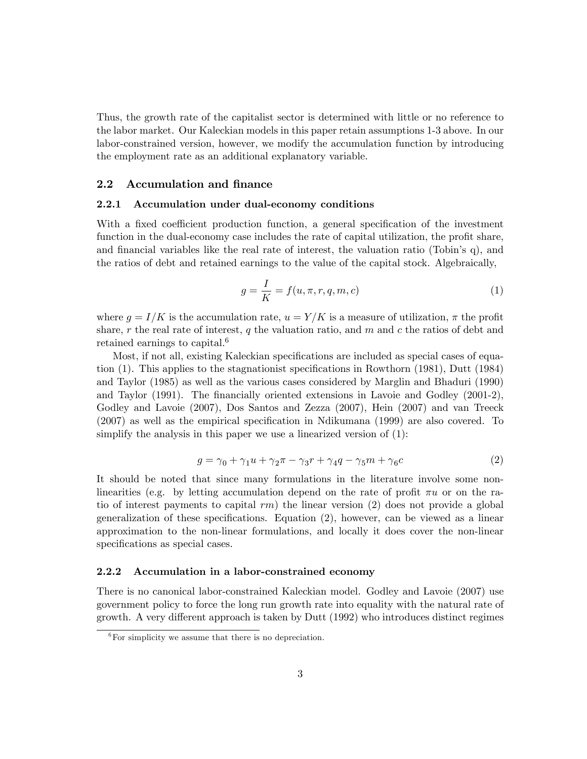Thus, the growth rate of the capitalist sector is determined with little or no reference to the labor market. Our Kaleckian models in this paper retain assumptions 1-3 above. In our labor-constrained version, however, we modify the accumulation function by introducing the employment rate as an additional explanatory variable.

### 2.2 Accumulation and finance

#### 2.2.1 Accumulation under dual-economy conditions

With a fixed coefficient production function, a general specification of the investment function in the dual-economy case includes the rate of capital utilization, the profit share, and financial variables like the real rate of interest, the valuation ratio (Tobin's q), and the ratios of debt and retained earnings to the value of the capital stock. Algebraically,

$$
g = \frac{I}{K} = f(u, \pi, r, q, m, c)
$$
\n<sup>(1)</sup>

where  $q = I/K$  is the accumulation rate,  $u = Y/K$  is a measure of utilization,  $\pi$  the profit share, r the real rate of interest, q the valuation ratio, and  $m$  and  $c$  the ratios of debt and retained earnings to capital.<sup>6</sup>

Most, if not all, existing Kaleckian specifications are included as special cases of equation (1). This applies to the stagnationist specifications in Rowthorn (1981), Dutt (1984) and Taylor (1985) as well as the various cases considered by Marglin and Bhaduri (1990) and Taylor (1991). The financially oriented extensions in Lavoie and Godley (2001-2), Godley and Lavoie (2007), Dos Santos and Zezza (2007), Hein (2007) and van Treeck  $(2007)$  as well as the empirical specification in Ndikumana  $(1999)$  are also covered. To simplify the analysis in this paper we use a linearized version of (1):

$$
g = \gamma_0 + \gamma_1 u + \gamma_2 \pi - \gamma_3 r + \gamma_4 q - \gamma_5 m + \gamma_6 c \tag{2}
$$

It should be noted that since many formulations in the literature involve some nonlinearities (e.g. by letting accumulation depend on the rate of profit  $\pi u$  or on the ratio of interest payments to capital  $rm$ ) the linear version (2) does not provide a global generalization of these specifications. Equation  $(2)$ , however, can be viewed as a linear approximation to the non-linear formulations, and locally it does cover the non-linear specifications as special cases.

#### 2.2.2 Accumulation in a labor-constrained economy

There is no canonical labor-constrained Kaleckian model. Godley and Lavoie (2007) use government policy to force the long run growth rate into equality with the natural rate of growth. A very different approach is taken by Dutt  $(1992)$  who introduces distinct regimes

 ${}^{6}$  For simplicity we assume that there is no depreciation.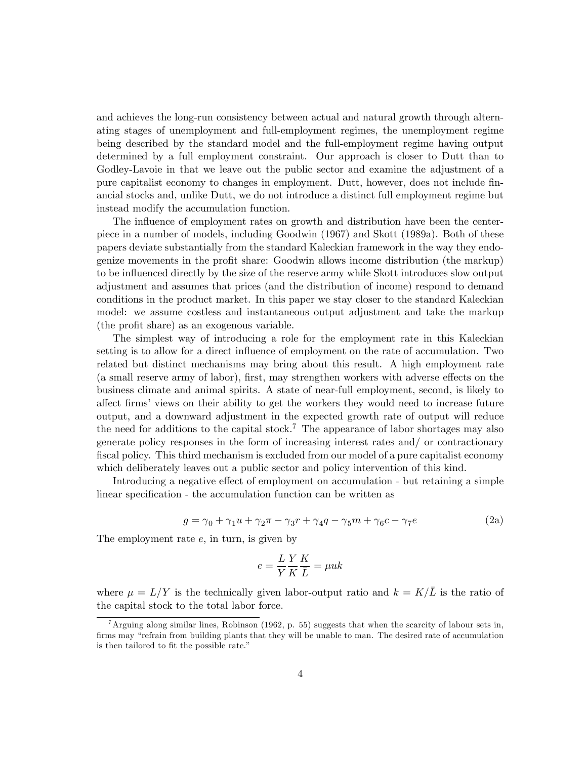and achieves the long-run consistency between actual and natural growth through alternating stages of unemployment and full-employment regimes, the unemployment regime being described by the standard model and the full-employment regime having output determined by a full employment constraint. Our approach is closer to Dutt than to Godley-Lavoie in that we leave out the public sector and examine the adjustment of a pure capitalist economy to changes in employment. Dutt, however, does not include financial stocks and, unlike Dutt, we do not introduce a distinct full employment regime but instead modify the accumulation function.

The influence of employment rates on growth and distribution have been the centerpiece in a number of models, including Goodwin (1967) and Skott (1989a). Both of these papers deviate substantially from the standard Kaleckian framework in the way they endogenize movements in the profit share: Goodwin allows income distribution (the markup) to be influenced directly by the size of the reserve army while Skott introduces slow output adjustment and assumes that prices (and the distribution of income) respond to demand conditions in the product market. In this paper we stay closer to the standard Kaleckian model: we assume costless and instantaneous output adjustment and take the markup (the profit share) as an exogenous variable.

The simplest way of introducing a role for the employment rate in this Kaleckian setting is to allow for a direct influence of employment on the rate of accumulation. Two related but distinct mechanisms may bring about this result. A high employment rate (a small reserve army of labor), first, may strengthen workers with adverse effects on the business climate and animal spirits. A state of near-full employment, second, is likely to affect firms' views on their ability to get the workers they would need to increase future output, and a downward adjustment in the expected growth rate of output will reduce the need for additions to the capital stock.<sup>7</sup> The appearance of labor shortages may also generate policy responses in the form of increasing interest rates and/ or contractionary fiscal policy. This third mechanism is excluded from our model of a pure capitalist economy which deliberately leaves out a public sector and policy intervention of this kind.

Introducing a negative effect of employment on accumulation - but retaining a simple linear specification - the accumulation function can be written as

$$
g = \gamma_0 + \gamma_1 u + \gamma_2 \pi - \gamma_3 r + \gamma_4 q - \gamma_5 m + \gamma_6 c - \gamma_7 e \tag{2a}
$$

The employment rate  $e$ , in turn, is given by

$$
e = \frac{L}{Y} \frac{Y}{K} \frac{K}{\bar{L}} = \mu uk
$$

where  $\mu = L/Y$  is the technically given labor-output ratio and  $k = K/L$  is the ratio of the capital stock to the total labor force.

<sup>&</sup>lt;sup>7</sup>Arguing along similar lines, Robinson (1962, p. 55) suggests that when the scarcity of labour sets in, firms may "refrain from building plants that they will be unable to man. The desired rate of accumulation is then tailored to fit the possible rate."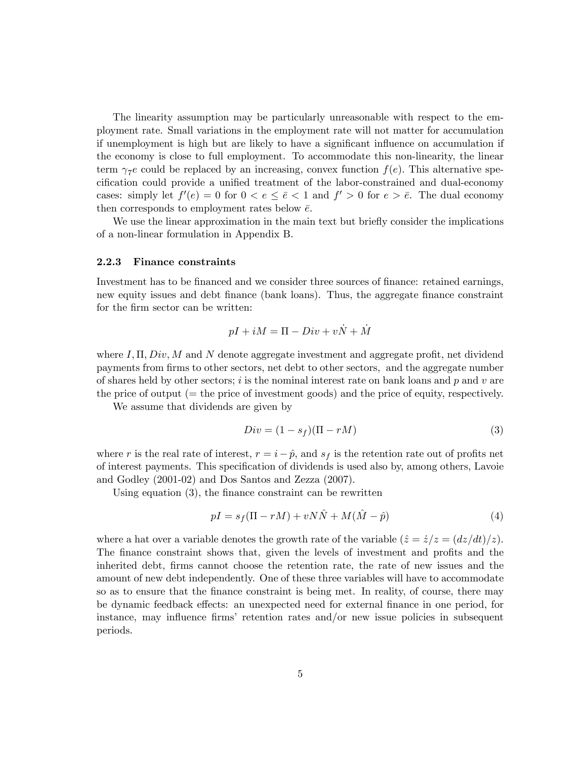The linearity assumption may be particularly unreasonable with respect to the employment rate. Small variations in the employment rate will not matter for accumulation if unemployment is high but are likely to have a significant influence on accumulation if the economy is close to full employment. To accommodate this non-linearity, the linear term  $\gamma_7 e$  could be replaced by an increasing, convex function  $f(e)$ . This alternative specification could provide a unified treatment of the labor-constrained and dual-economy cases: simply let  $f'(e) = 0$  for  $0 < e \le \overline{e} < 1$  and  $f' > 0$  for  $e > \overline{e}$ . The dual economy then corresponds to employment rates below  $\bar{e}$ .

We use the linear approximation in the main text but briefly consider the implications of a non-linear formulation in Appendix B.

#### 2.2.3 Finance constraints

Investment has to be financed and we consider three sources of finance: retained earnings, new equity issues and debt finance (bank loans). Thus, the aggregate finance constraint for the firm sector can be written:

$$
pI + iM = \Pi - Div + v\dot{N} + \dot{M}
$$

where  $I, \Pi, Div, M$  and N denote aggregate investment and aggregate profit, net dividend payments from Örms to other sectors, net debt to other sectors, and the aggregate number of shares held by other sectors; i is the nominal interest rate on bank loans and p and v are the price of output  $(=$  the price of investment goods) and the price of equity, respectively.

We assume that dividends are given by

$$
Div = (1 - s_f)(\Pi - rM) \tag{3}
$$

where r is the real rate of interest,  $r = i - \hat{p}$ , and  $s_f$  is the retention rate out of profits net of interest payments. This specification of dividends is used also by, among others, Lavoie and Godley (2001-02) and Dos Santos and Zezza (2007).

Using equation  $(3)$ , the finance constraint can be rewritten

$$
pI = s_f(\Pi - rM) + vN\hat{N} + M(\hat{M} - \hat{p})
$$
\n(4)

where a hat over a variable denotes the growth rate of the variable  $(\hat{z} = \dot{z}/z = (dz/dt)/z)$ . The finance constraint shows that, given the levels of investment and profits and the inherited debt, Örms cannot choose the retention rate, the rate of new issues and the amount of new debt independently. One of these three variables will have to accommodate so as to ensure that the finance constraint is being met. In reality, of course, there may be dynamic feedback effects: an unexpected need for external finance in one period, for instance, may influence firms' retention rates and/or new issue policies in subsequent periods.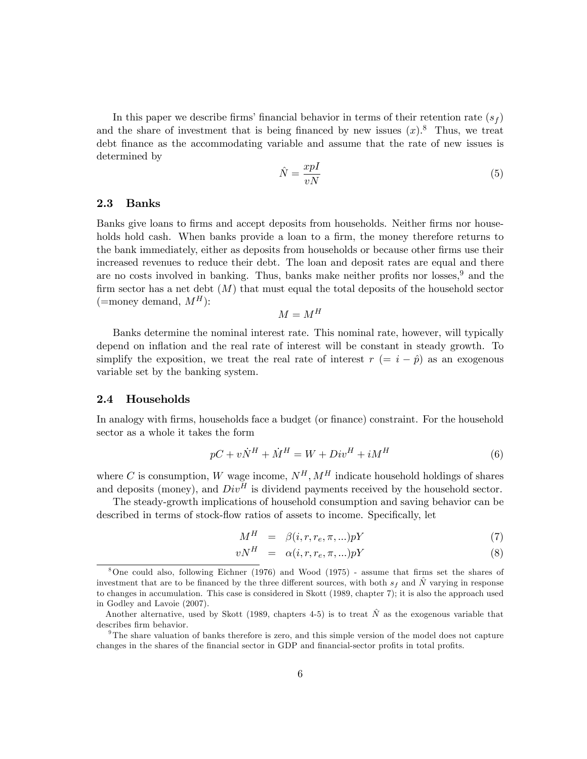In this paper we describe firms' financial behavior in terms of their retention rate  $(s_f)$ and the share of investment that is being financed by new issues  $(x)$ .<sup>8</sup> Thus, we treat debt finance as the accommodating variable and assume that the rate of new issues is determined by

$$
\hat{N} = \frac{x p I}{v N} \tag{5}
$$

#### 2.3 Banks

Banks give loans to firms and accept deposits from households. Neither firms nor households hold cash. When banks provide a loan to a firm, the money therefore returns to the bank immediately, either as deposits from households or because other firms use their increased revenues to reduce their debt. The loan and deposit rates are equal and there are no costs involved in banking. Thus, banks make neither profits nor losses,  $9$  and the firm sector has a net debt  $(M)$  that must equal the total deposits of the household sector  $(=$ money demand,  $M^H$ ):

 $M = M^H$ 

Banks determine the nominal interest rate. This nominal rate, however, will typically depend on inflation and the real rate of interest will be constant in steady growth. To simplify the exposition, we treat the real rate of interest  $r (= i - \hat{p})$  as an exogenous variable set by the banking system.

#### 2.4 Households

In analogy with firms, households face a budget (or finance) constraint. For the household sector as a whole it takes the form

$$
pC + v\dot{N}^H + \dot{M}^H = W + Div^H + iM^H \tag{6}
$$

where C is consumption, W wage income,  $N^H$ ,  $M^H$  indicate household holdings of shares and deposits (money), and  $Div<sup>H</sup>$  is dividend payments received by the household sector.

The steady-growth implications of household consumption and saving behavior can be described in terms of stock-flow ratios of assets to income. Specifically, let

$$
M^H = \beta(i, r, r_e, \pi, \ldots)pY \tag{7}
$$

$$
vN^H = \alpha(i, r, r_e, \pi, \ldots)pY \tag{8}
$$

<sup>&</sup>lt;sup>8</sup>One could also, following Eichner (1976) and Wood (1975) - assume that firms set the shares of investment that are to be financed by the three different sources, with both  $s_f$  and  $N$  varying in response to changes in accumulation. This case is considered in Skott (1989, chapter 7); it is also the approach used in Godley and Lavoie (2007).

Another alternative, used by Skott (1989, chapters 4-5) is to treat  $\hat{N}$  as the exogenous variable that describes firm behavior.

<sup>&</sup>lt;sup>9</sup>The share valuation of banks therefore is zero, and this simple version of the model does not capture changes in the shares of the financial sector in GDP and financial-sector profits in total profits.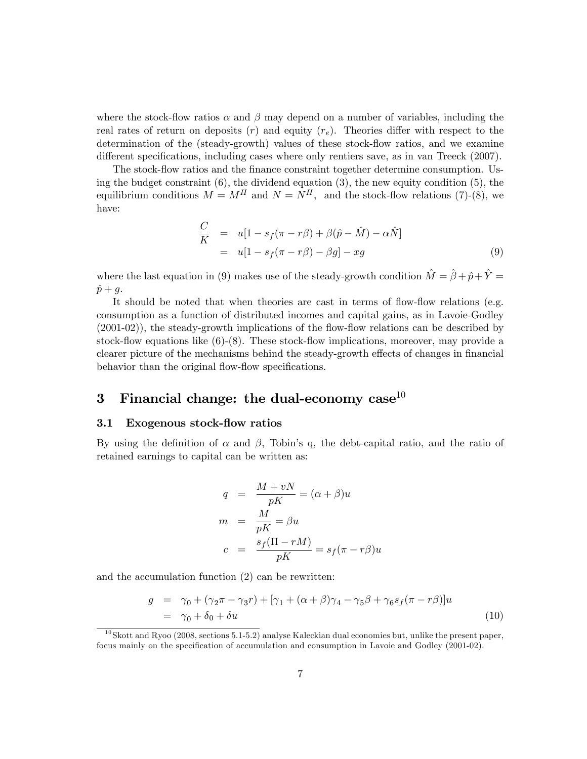where the stock-flow ratios  $\alpha$  and  $\beta$  may depend on a number of variables, including the real rates of return on deposits (r) and equity  $(r_e)$ . Theories differ with respect to the determination of the (steady-growth) values of these stock-flow ratios, and we examine different specifications, including cases where only rentiers save, as in van Treeck (2007).

The stock-flow ratios and the finance constraint together determine consumption. Using the budget constraint  $(6)$ , the dividend equation  $(3)$ , the new equity condition  $(5)$ , the equilibrium conditions  $M = M^H$  and  $N = N^H$ , and the stock-flow relations (7)-(8), we have:

$$
\frac{C}{K} = u[1 - s_f(\pi - r\beta) + \beta(\hat{p} - \hat{M}) - \alpha \hat{N}] \n= u[1 - s_f(\pi - r\beta) - \beta g] - xg
$$
\n(9)

where the last equation in (9) makes use of the steady-growth condition  $\hat{M} = \hat{\beta} + \hat{p} + \hat{Y} =$  $\hat{p} + g$ .

It should be noted that when theories are cast in terms of flow-flow relations (e.g. consumption as a function of distributed incomes and capital gains, as in Lavoie-Godley  $(2001-02)$ , the steady-growth implications of the flow-flow relations can be described by stock-flow equations like  $(6)-(8)$ . These stock-flow implications, moreover, may provide a clearer picture of the mechanisms behind the steady-growth effects of changes in financial behavior than the original flow-flow specifications.

## 3 Financial change: the dual-economy case  $10$

#### 3.1 Exogenous stock-flow ratios

By using the definition of  $\alpha$  and  $\beta$ , Tobin's q, the debt-capital ratio, and the ratio of retained earnings to capital can be written as:

$$
q = \frac{M + vN}{pK} = (\alpha + \beta)u
$$
  
\n
$$
m = \frac{M}{pK} = \beta u
$$
  
\n
$$
c = \frac{s_f(\Pi - rM)}{pK} = s_f(\pi - r\beta)u
$$

and the accumulation function (2) can be rewritten:

$$
g = \gamma_0 + (\gamma_2 \pi - \gamma_3 r) + [\gamma_1 + (\alpha + \beta)\gamma_4 - \gamma_5 \beta + \gamma_6 s_f (\pi - r\beta)]u
$$
  
=  $\gamma_0 + \delta_0 + \delta u$  (10)

 $10$ Skott and Ryoo (2008, sections 5.1-5.2) analyse Kaleckian dual economies but, unlike the present paper, focus mainly on the specification of accumulation and consumption in Lavoie and Godley (2001-02).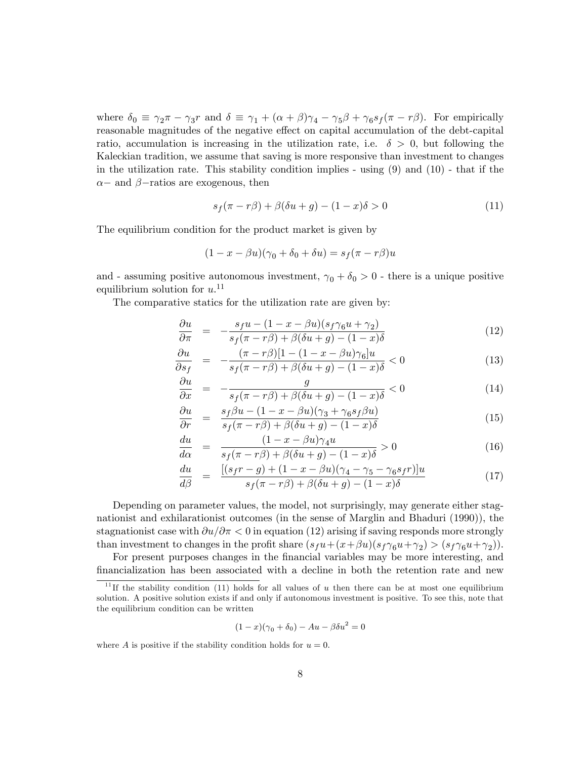where  $\delta_0 \equiv \gamma_2 \pi - \gamma_3 r$  and  $\delta \equiv \gamma_1 + (\alpha + \beta)\gamma_4 - \gamma_5 \beta + \gamma_6 s_f (\pi - r\beta)$ . For empirically reasonable magnitudes of the negative effect on capital accumulation of the debt-capital ratio, accumulation is increasing in the utilization rate, i.e.  $\delta > 0$ , but following the Kaleckian tradition, we assume that saving is more responsive than investment to changes in the utilization rate. This stability condition implies - using  $(9)$  and  $(10)$  - that if the  $\alpha$  – and  $\beta$  – ratios are exogenous, then

$$
s_f(\pi - r\beta) + \beta(\delta u + g) - (1 - x)\delta > 0 \tag{11}
$$

The equilibrium condition for the product market is given by

$$
(1 - x - \beta u)(\gamma_0 + \delta_0 + \delta u) = s_f(\pi - r\beta)u
$$

and - assuming positive autonomous investment,  $\gamma_0 + \delta_0 > 0$  - there is a unique positive equilibrium solution for  $u$ <sup>11</sup>

The comparative statics for the utilization rate are given by:

$$
\frac{\partial u}{\partial \pi} = -\frac{s_f u - (1 - x - \beta u)(s_f \gamma_6 u + \gamma_2)}{s_f (\pi - r\beta) + \beta (\delta u + g) - (1 - x)\delta} \tag{12}
$$

$$
\frac{\partial u}{\partial s_f} = -\frac{(\pi - r\beta)[1 - (1 - x - \beta u)\gamma_6]u}{s_f(\pi - r\beta) + \beta(\delta u + g) - (1 - x)\delta} < 0 \tag{13}
$$

$$
\frac{\partial u}{\partial x} = -\frac{g}{s_f(\pi - r\beta) + \beta(\delta u + g) - (1 - x)\delta} < 0 \tag{14}
$$

$$
\frac{\partial u}{\partial r} = \frac{s_f \beta u - (1 - x - \beta u)(\gamma_3 + \gamma_6 s_f \beta u)}{s_f (\pi - r\beta) + \beta (\delta u + g) - (1 - x)\delta} \tag{15}
$$

$$
\frac{\partial r}{\partial u} = \frac{s_f(\pi - r\beta) + \beta(\delta u + g) - (1 - x)\delta}{\frac{(1 - x - \beta u)\gamma_4 u}{\gamma_4}} = \frac{(1 - x - \beta u)\gamma_4 u}{\gamma_4} > 0
$$
\n(16)

$$
\frac{du}{d\alpha} = \frac{1}{s_f(\pi - r\beta) + \beta(\delta u + g) - (1 - x)\delta} > 0
$$
\n(16)\n  
\n
$$
\frac{du}{d\alpha} = \frac{[(s_f r - g) + (1 - x - \beta u)(\gamma_4 - \gamma_5 - \gamma_6 s_f r)]u}{(17)}
$$

$$
\frac{du}{d\beta} = \frac{[(\delta f^{\prime} - g)^{\prime} + (1 - x^{\prime} - \beta u)(\gamma_4 - \gamma_5 - \gamma_6 \delta f^{\prime})]^{\alpha}}{s_f(\pi - r\beta) + \beta(\delta u + g) - (1 - x)\delta}
$$
(17)

Depending on parameter values, the model, not surprisingly, may generate either stagnationist and exhilarationist outcomes (in the sense of Marglin and Bhaduri (1990)), the stagnationist case with  $\partial u/\partial \pi < 0$  in equation (12) arising if saving responds more strongly than investment to changes in the profit share  $(s_f u + (x + \beta u)(s_f \gamma_6 u + \gamma_2) > (s_f \gamma_6 u + \gamma_2)).$ 

For present purposes changes in the financial variables may be more interesting, and Önancialization has been associated with a decline in both the retention rate and new

$$
(1-x)(\gamma_0 + \delta_0) - Au - \beta \delta u^2 = 0
$$

where A is positive if the stability condition holds for  $u = 0$ .

<sup>&</sup>lt;sup>11</sup>If the stability condition (11) holds for all values of u then there can be at most one equilibrium solution. A positive solution exists if and only if autonomous investment is positive. To see this, note that the equilibrium condition can be written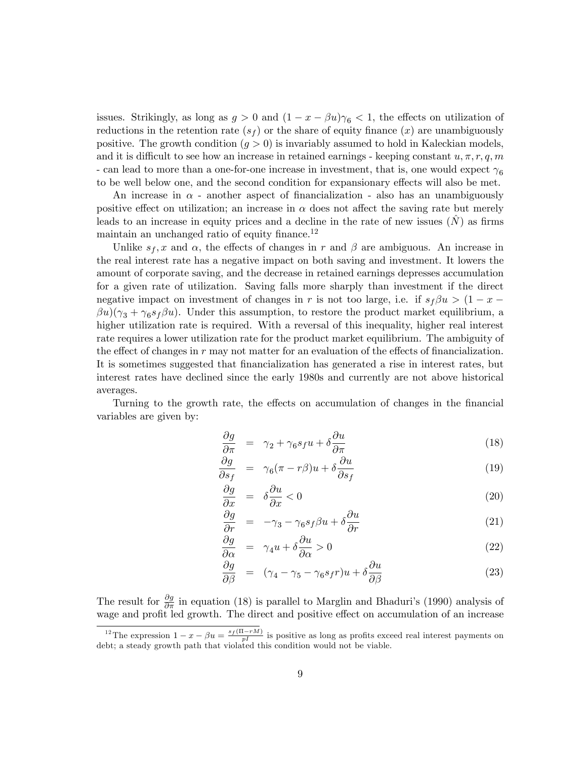issues. Strikingly, as long as  $g > 0$  and  $(1 - x - \beta u)\gamma_6 < 1$ , the effects on utilization of reductions in the retention rate  $(s_f)$  or the share of equity finance  $(x)$  are unambiguously positive. The growth condition  $(q > 0)$  is invariably assumed to hold in Kaleckian models, and it is difficult to see how an increase in retained earnings - keeping constant  $u, \pi, r, q, m$ - can lead to more than a one-for-one increase in investment, that is, one would expect  $\gamma_6$ to be well below one, and the second condition for expansionary effects will also be met.

An increase in  $\alpha$  - another aspect of financialization - also has an unambiguously positive effect on utilization; an increase in  $\alpha$  does not affect the saving rate but merely leads to an increase in equity prices and a decline in the rate of new issues  $(N)$  as firms maintain an unchanged ratio of equity finance.<sup>12</sup>

Unlike  $s_f$ , x and  $\alpha$ , the effects of changes in r and  $\beta$  are ambiguous. An increase in the real interest rate has a negative impact on both saving and investment. It lowers the amount of corporate saving, and the decrease in retained earnings depresses accumulation for a given rate of utilization. Saving falls more sharply than investment if the direct negative impact on investment of changes in r is not too large, i.e. if  $s_f \beta u > (1 - x \beta u$  $(\gamma_3 + \gamma_6 s_f \beta u)$ . Under this assumption, to restore the product market equilibrium, a higher utilization rate is required. With a reversal of this inequality, higher real interest rate requires a lower utilization rate for the product market equilibrium. The ambiguity of the effect of changes in  $r$  may not matter for an evaluation of the effects of financialization. It is sometimes suggested that Önancialization has generated a rise in interest rates, but interest rates have declined since the early 1980s and currently are not above historical averages.

Turning to the growth rate, the effects on accumulation of changes in the financial variables are given by:

$$
\frac{\partial g}{\partial \pi} = \gamma_2 + \gamma_6 s_f u + \delta \frac{\partial u}{\partial \pi} \tag{18}
$$

$$
\frac{\partial g}{\partial s_f} = \gamma_6 (\pi - r\beta) u + \delta \frac{\partial u}{\partial s_f} \tag{19}
$$

$$
\frac{\partial g}{\partial x} = \delta \frac{\partial u}{\partial x} < 0 \tag{20}
$$

$$
\frac{\partial g}{\partial r} = -\gamma_3 - \gamma_6 s_f \beta u + \delta \frac{\partial u}{\partial r} \tag{21}
$$

$$
\frac{\partial g}{\partial \alpha} = \gamma_4 u + \delta \frac{\partial u}{\partial \alpha} > 0 \tag{22}
$$

$$
\frac{\partial g}{\partial \beta} = (\gamma_4 - \gamma_5 - \gamma_6 s_f r) u + \delta \frac{\partial u}{\partial \beta} \tag{23}
$$

The result for  $\frac{\partial g}{\partial \pi}$  in equation (18) is parallel to Marglin and Bhaduri's (1990) analysis of wage and profit led growth. The direct and positive effect on accumulation of an increase

<sup>&</sup>lt;sup>12</sup>The expression  $1-x-\beta u = \frac{s_f(\Pi - rM)}{pI}$  is positive as long as profits exceed real interest payments on debt; a steady growth path that violated this condition would not be viable.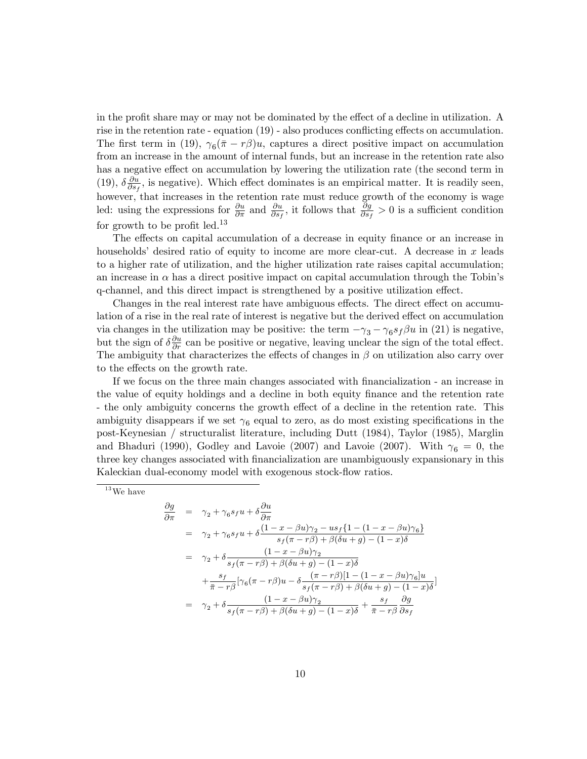in the profit share may or may not be dominated by the effect of a decline in utilization. A rise in the retention rate - equation  $(19)$  - also produces conflicting effects on accumulation. The first term in (19),  $\gamma_6(\bar{\pi} - r\beta)u$ , captures a direct positive impact on accumulation from an increase in the amount of internal funds, but an increase in the retention rate also has a negative effect on accumulation by lowering the utilization rate (the second term in  $(19), \delta \frac{\partial u}{\partial s}$  $\frac{\partial u}{\partial s_f}$ , is negative). Which effect dominates is an empirical matter. It is readily seen, however, that increases in the retention rate must reduce growth of the economy is wage led: using the expressions for  $\frac{\partial u}{\partial \pi}$  and  $\frac{\partial u}{\partial s_f}$ , it follows that  $\frac{\partial g}{\partial s_f} > 0$  is a sufficient condition for growth to be profit led.<sup>13</sup>

The effects on capital accumulation of a decrease in equity finance or an increase in households' desired ratio of equity to income are more clear-cut. A decrease in  $x$  leads to a higher rate of utilization, and the higher utilization rate raises capital accumulation; an increase in  $\alpha$  has a direct positive impact on capital accumulation through the Tobin's q-channel, and this direct impact is strengthened by a positive utilization effect.

Changes in the real interest rate have ambiguous effects. The direct effect on accumulation of a rise in the real rate of interest is negative but the derived effect on accumulation via changes in the utilization may be positive: the term  $-\gamma_3 - \gamma_6 s_f \beta u$  in (21) is negative, but the sign of  $\delta \frac{\partial u}{\partial r}$  can be positive or negative, leaving unclear the sign of the total effect. The ambiguity that characterizes the effects of changes in  $\beta$  on utilization also carry over to the effects on the growth rate.

If we focus on the three main changes associated with Önancialization - an increase in the value of equity holdings and a decline in both equity finance and the retention rate - the only ambiguity concerns the growth effect of a decline in the retention rate. This ambiguity disappears if we set  $\gamma_6$  equal to zero, as do most existing specifications in the post-Keynesian / structuralist literature, including Dutt (1984), Taylor (1985), Marglin and Bhaduri (1990), Godley and Lavoie (2007) and Lavoie (2007). With  $\gamma_6 = 0$ , the three key changes associated with financialization are unambiguously expansionary in this Kaleckian dual-economy model with exogenous stock-flow ratios.

$$
\frac{\partial g}{\partial \pi} = \gamma_2 + \gamma_6 s_f u + \delta \frac{\partial u}{\partial \pi}
$$
\n
$$
= \gamma_2 + \gamma_6 s_f u + \delta \frac{(1 - x - \beta u)\gamma_2 - u s_f \{1 - (1 - x - \beta u)\gamma_6\}}{s_f (\pi - r\beta) + \beta (\delta u + g) - (1 - x)\delta}
$$
\n
$$
= \gamma_2 + \delta \frac{(1 - x - \beta u)\gamma_2}{s_f (\pi - r\beta) + \beta (\delta u + g) - (1 - x)\delta}
$$
\n
$$
+ \frac{s_f}{\pi - r\beta} [\gamma_6 (\pi - r\beta)u - \delta \frac{(\pi - r\beta)[1 - (1 - x - \beta u)\gamma_6]u}{s_f (\pi - r\beta) + \beta (\delta u + g) - (1 - x)\delta}]
$$
\n
$$
= \gamma_2 + \delta \frac{(1 - x - \beta u)\gamma_2}{s_f (\pi - r\beta) + \beta (\delta u + g) - (1 - x)\delta} + \frac{s_f}{\pi - r\beta} \frac{\partial g}{\partial s_f}
$$

 $^{13}\mathrm{We}$  have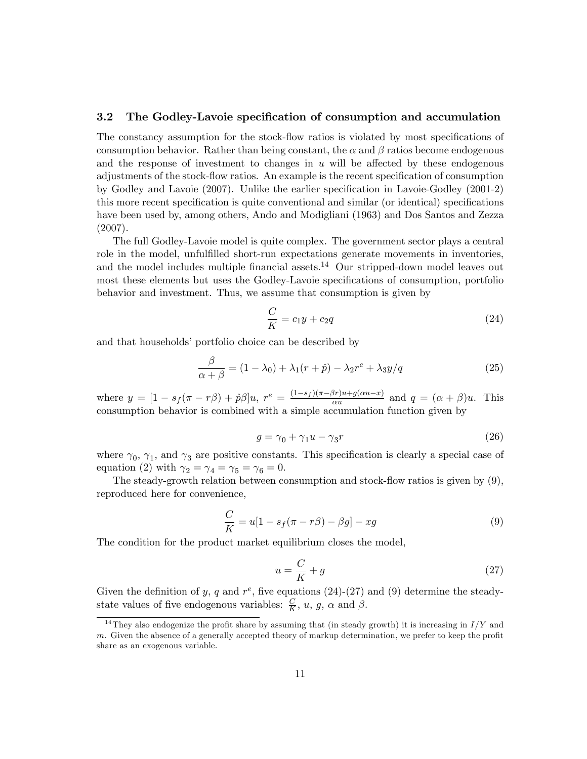### 3.2 The Godley-Lavoie specification of consumption and accumulation

The constancy assumption for the stock-flow ratios is violated by most specifications of consumption behavior. Rather than being constant, the  $\alpha$  and  $\beta$  ratios become endogenous and the response of investment to changes in  $u$  will be affected by these endogenous adjustments of the stock-flow ratios. An example is the recent specification of consumption by Godley and Lavoie  $(2007)$ . Unlike the earlier specification in Lavoie-Godley  $(2001-2)$ this more recent specification is quite conventional and similar (or identical) specifications have been used by, among others, Ando and Modigliani (1963) and Dos Santos and Zezza (2007).

The full Godley-Lavoie model is quite complex. The government sector plays a central role in the model, unfulfilled short-run expectations generate movements in inventories, and the model includes multiple financial assets.<sup>14</sup> Our stripped-down model leaves out most these elements but uses the Godley-Lavoie specifications of consumption, portfolio behavior and investment. Thus, we assume that consumption is given by

$$
\frac{C}{K} = c_1 y + c_2 q \tag{24}
$$

and that households' portfolio choice can be described by

$$
\frac{\beta}{\alpha+\beta} = (1 - \lambda_0) + \lambda_1(r+\hat{p}) - \lambda_2 r^e + \lambda_3 y/q \tag{25}
$$

where  $y = \left[1 - s_f(\pi - r\beta) + \hat{p}\beta\right]u$ ,  $r^e = \frac{(1 - s_f)(\pi - \beta r)u + g(\alpha u - x)}{\alpha u}$  and  $q = (\alpha + \beta)u$ . This consumption behavior is combined with a simple accumulation function given by

$$
g = \gamma_0 + \gamma_1 u - \gamma_3 r \tag{26}
$$

where  $\gamma_0$ ,  $\gamma_1$ , and  $\gamma_3$  are positive constants. This specification is clearly a special case of equation (2) with  $\gamma_2 = \gamma_4 = \gamma_5 = \gamma_6 = 0$ .

The steady-growth relation between consumption and stock-flow ratios is given by  $(9)$ , reproduced here for convenience,

$$
\frac{C}{K} = u[1 - s_f(\pi - r\beta) - \beta g] - xg \tag{9}
$$

The condition for the product market equilibrium closes the model,

$$
u = \frac{C}{K} + g \tag{27}
$$

Given the definition of y, q and  $r^e$ , five equations (24)-(27) and (9) determine the steadystate values of five endogenous variables:  $\frac{C}{K}$ ,  $u$ ,  $g$ ,  $\alpha$  and  $\beta$ .

 $\mathcal{I}$ 

<sup>&</sup>lt;sup>14</sup>They also endogenize the profit share by assuming that (in steady growth) it is increasing in  $I/Y$  and  $m$ . Given the absence of a generally accepted theory of markup determination, we prefer to keep the profit share as an exogenous variable.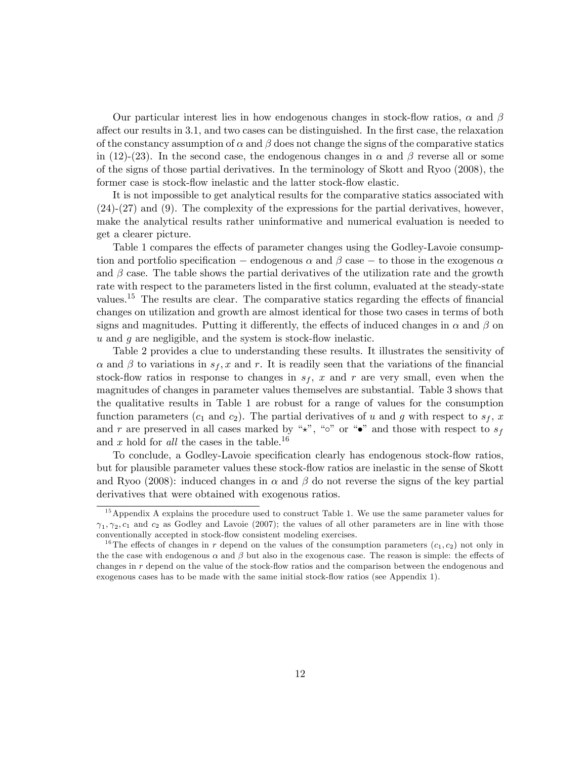Our particular interest lies in how endogenous changes in stock-flow ratios,  $\alpha$  and  $\beta$ affect our results in 3.1, and two cases can be distinguished. In the first case, the relaxation of the constancy assumption of  $\alpha$  and  $\beta$  does not change the signs of the comparative statics in (12)-(23). In the second case, the endogenous changes in  $\alpha$  and  $\beta$  reverse all or some of the signs of those partial derivatives. In the terminology of Skott and Ryoo (2008), the former case is stock-flow inelastic and the latter stock-flow elastic.

It is not impossible to get analytical results for the comparative statics associated with (24)-(27) and (9). The complexity of the expressions for the partial derivatives, however, make the analytical results rather uninformative and numerical evaluation is needed to get a clearer picture.

Table 1 compares the effects of parameter changes using the Godley-Lavoie consumption and portfolio specification – endogenous  $\alpha$  and  $\beta$  case – to those in the exogenous  $\alpha$ and  $\beta$  case. The table shows the partial derivatives of the utilization rate and the growth rate with respect to the parameters listed in the first column, evaluated at the steady-state values.<sup>15</sup> The results are clear. The comparative statics regarding the effects of financial changes on utilization and growth are almost identical for those two cases in terms of both signs and magnitudes. Putting it differently, the effects of induced changes in  $\alpha$  and  $\beta$  on u and q are negligible, and the system is stock-flow inelastic.

Table 2 provides a clue to understanding these results. It illustrates the sensitivity of  $\alpha$  and  $\beta$  to variations in  $s_f$ , x and r. It is readily seen that the variations of the financial stock-flow ratios in response to changes in  $s_f$ , x and r are very small, even when the magnitudes of changes in parameter values themselves are substantial. Table 3 shows that the qualitative results in Table 1 are robust for a range of values for the consumption function parameters  $(c_1 \text{ and } c_2)$ . The partial derivatives of u and g with respect to  $s_f$ , x and r are preserved in all cases marked by " $x$ ", "o" or " $\bullet$ " and those with respect to  $s_f$ and x hold for all the cases in the table.<sup>16</sup>

To conclude, a Godley-Lavoie specification clearly has endogenous stock-flow ratios, but for plausible parameter values these stock-áow ratios are inelastic in the sense of Skott and Ryoo (2008): induced changes in  $\alpha$  and  $\beta$  do not reverse the signs of the key partial derivatives that were obtained with exogenous ratios.

 $15$  Appendix A explains the procedure used to construct Table 1. We use the same parameter values for  $\gamma_1, \gamma_2, c_1$  and  $c_2$  as Godley and Lavoie (2007); the values of all other parameters are in line with those conventionally accepted in stock-flow consistent modeling exercises.

<sup>&</sup>lt;sup>16</sup>The effects of changes in r depend on the values of the consumption parameters  $(c_1, c_2)$  not only in the the case with endogenous  $\alpha$  and  $\beta$  but also in the exogenous case. The reason is simple: the effects of changes in  $r$  depend on the value of the stock-flow ratios and the comparison between the endogenous and exogenous cases has to be made with the same initial stock-flow ratios (see Appendix 1).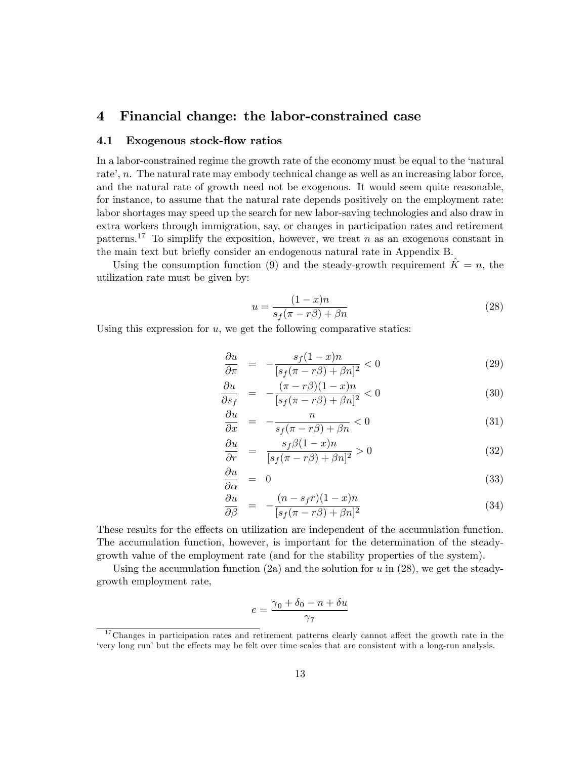## 4 Financial change: the labor-constrained case

### 4.1 Exogenous stock-flow ratios

In a labor-constrained regime the growth rate of the economy must be equal to the 'natural rate, n. The natural rate may embody technical change as well as an increasing labor force, and the natural rate of growth need not be exogenous. It would seem quite reasonable, for instance, to assume that the natural rate depends positively on the employment rate: labor shortages may speed up the search for new labor-saving technologies and also draw in extra workers through immigration, say, or changes in participation rates and retirement patterns.<sup>17</sup> To simplify the exposition, however, we treat n as an exogenous constant in the main text but briefly consider an endogenous natural rate in Appendix B.

Using the consumption function (9) and the steady-growth requirement  $\hat{K} = n$ , the utilization rate must be given by:

$$
u = \frac{(1-x)n}{s_f(\pi - r\beta) + \beta n} \tag{28}
$$

Using this expression for  $u$ , we get the following comparative statics:

$$
\frac{\partial u}{\partial \pi} = -\frac{s_f(1-x)n}{[s_f(\pi - r\beta) + \beta n]^2} < 0 \tag{29}
$$

$$
\frac{\partial u}{\partial s_f} = -\frac{(\pi - r\beta)(1 - x)n}{[s_f(\pi - r\beta) + \beta n]^2} < 0 \tag{30}
$$

$$
\frac{\partial u}{\partial x} = -\frac{n}{s_f(\pi - r\beta) + \beta n} < 0 \tag{31}
$$

$$
\frac{\partial u}{\partial r} = \frac{s_f \beta (1 - x) n}{[s_f (\pi - r\beta) + \beta n]^2} > 0
$$
\n(32)

$$
\frac{\partial u}{\partial \alpha} = 0 \tag{33}
$$

$$
\frac{\partial u}{\partial \beta} = -\frac{(n - s_f r)(1 - x)n}{[s_f(\pi - r\beta) + \beta n]^2}
$$
(34)

These results for the effects on utilization are independent of the accumulation function. The accumulation function, however, is important for the determination of the steadygrowth value of the employment rate (and for the stability properties of the system).

Using the accumulation function (2a) and the solution for  $u$  in (28), we get the steadygrowth employment rate,

$$
e = \frac{\gamma_0 + \delta_0 - n + \delta u}{\gamma_7}
$$

 $17$ Changes in participation rates and retirement patterns clearly cannot affect the growth rate in the ëvery long runíbut the e§ects may be felt over time scales that are consistent with a long-run analysis.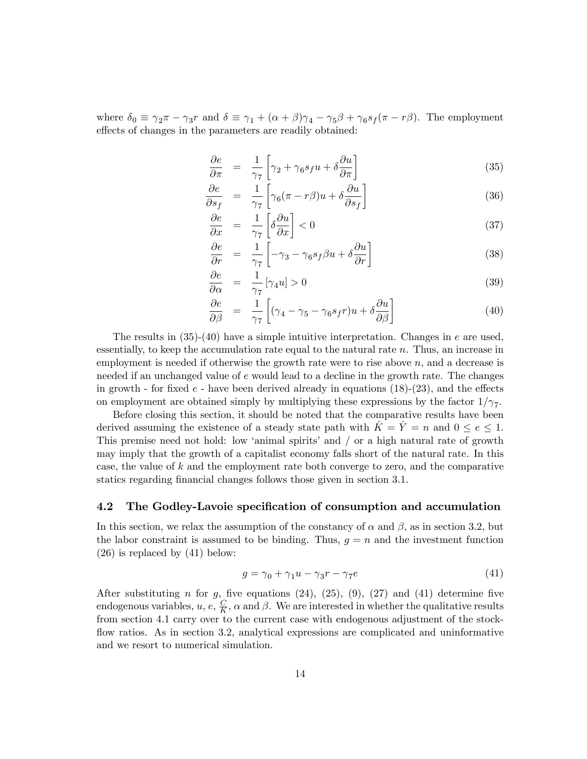where  $\delta_0 \equiv \gamma_2 \pi - \gamma_3 r$  and  $\delta \equiv \gamma_1 + (\alpha + \beta)\gamma_4 - \gamma_5 \beta + \gamma_6 s_f (\pi - r\beta)$ . The employment effects of changes in the parameters are readily obtained:

$$
\frac{\partial e}{\partial \pi} = \frac{1}{\gamma_7} \left[ \gamma_2 + \gamma_6 s_f u + \delta \frac{\partial u}{\partial \pi} \right]
$$
(35)

$$
\frac{\partial e}{\partial s_f} = \frac{1}{\gamma_7} \left[ \gamma_6 (\pi - r\beta) u + \delta \frac{\partial u}{\partial s_f} \right]
$$
(36)

$$
\frac{\partial e}{\partial x} = \frac{1}{\gamma_7} \left[ \delta \frac{\partial u}{\partial x} \right] < 0 \tag{37}
$$

$$
\frac{\partial e}{\partial r} = \frac{1}{\gamma_7} \left[ -\gamma_3 - \gamma_6 s_f \beta u + \delta \frac{\partial u}{\partial r} \right]
$$
(38)

$$
\frac{\partial e}{\partial \alpha} = \frac{1}{\gamma_7} [\gamma_4 u] > 0 \tag{39}
$$

$$
\frac{\partial e}{\partial \beta} = \frac{1}{\gamma_7} \left[ (\gamma_4 - \gamma_5 - \gamma_6 s_f r) u + \delta \frac{\partial u}{\partial \beta} \right]
$$
(40)

The results in  $(35)-(40)$  have a simple intuitive interpretation. Changes in e are used, essentially, to keep the accumulation rate equal to the natural rate n. Thus, an increase in employment is needed if otherwise the growth rate were to rise above  $n$ , and a decrease is needed if an unchanged value of e would lead to a decline in the growth rate. The changes in growth - for fixed  $e$  - have been derived already in equations (18)-(23), and the effects on employment are obtained simply by multiplying these expressions by the factor  $1/\gamma_7$ .

Before closing this section, it should be noted that the comparative results have been derived assuming the existence of a steady state path with  $\hat{K} = \hat{Y} = n$  and  $0 \le e \le 1$ . This premise need not hold: low 'animal spirits' and / or a high natural rate of growth may imply that the growth of a capitalist economy falls short of the natural rate. In this case, the value of  $k$  and the employment rate both converge to zero, and the comparative statics regarding financial changes follows those given in section 3.1.

#### 4.2 The Godley-Lavoie specification of consumption and accumulation

In this section, we relax the assumption of the constancy of  $\alpha$  and  $\beta$ , as in section 3.2, but the labor constraint is assumed to be binding. Thus,  $g = n$  and the investment function (26) is replaced by (41) below:

$$
g = \gamma_0 + \gamma_1 u - \gamma_3 r - \gamma_7 e \tag{41}
$$

After substituting *n* for  $g$ , five equations (24), (25), (9), (27) and (41) determine five endogenous variables,  $u, e, \frac{C}{K}$  $\frac{C}{K}$ ,  $\alpha$  and  $\beta$ . We are interested in whether the qualitative results from section 4.1 carry over to the current case with endogenous adjustment of the stockflow ratios. As in section 3.2, analytical expressions are complicated and uninformative and we resort to numerical simulation.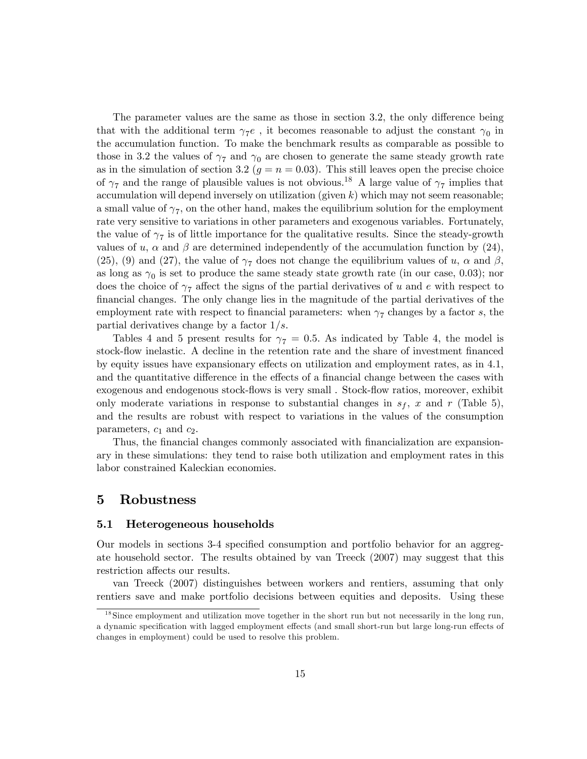The parameter values are the same as those in section 3.2, the only difference being that with the additional term  $\gamma_7 e$ , it becomes reasonable to adjust the constant  $\gamma_0$  in the accumulation function. To make the benchmark results as comparable as possible to those in 3.2 the values of  $\gamma_7$  and  $\gamma_0$  are chosen to generate the same steady growth rate as in the simulation of section 3.2 ( $g = n = 0.03$ ). This still leaves open the precise choice of  $\gamma_7$  and the range of plausible values is not obvious.<sup>18</sup> A large value of  $\gamma_7$  implies that accumulation will depend inversely on utilization (given  $k$ ) which may not seem reasonable; a small value of  $\gamma_7$ , on the other hand, makes the equilibrium solution for the employment rate very sensitive to variations in other parameters and exogenous variables. Fortunately, the value of  $\gamma_7$  is of little importance for the qualitative results. Since the steady-growth values of u,  $\alpha$  and  $\beta$  are determined independently of the accumulation function by (24), (25), (9) and (27), the value of  $\gamma_7$  does not change the equilibrium values of u,  $\alpha$  and  $\beta$ , as long as  $\gamma_0$  is set to produce the same steady state growth rate (in our case, 0.03); nor does the choice of  $\gamma_7$  affect the signs of the partial derivatives of u and e with respect to Önancial changes. The only change lies in the magnitude of the partial derivatives of the employment rate with respect to financial parameters: when  $\gamma_7$  changes by a factor s, the partial derivatives change by a factor  $1/s$ .

Tables 4 and 5 present results for  $\gamma_7 = 0.5$ . As indicated by Table 4, the model is stock-flow inelastic. A decline in the retention rate and the share of investment financed by equity issues have expansionary effects on utilization and employment rates, as in  $4.1$ , and the quantitative difference in the effects of a financial change between the cases with exogenous and endogenous stock-áows is very small . Stock-áow ratios, moreover, exhibit only moderate variations in response to substantial changes in  $s_f$ , x and r (Table 5), and the results are robust with respect to variations in the values of the consumption parameters,  $c_1$  and  $c_2$ .

Thus, the financial changes commonly associated with financialization are expansionary in these simulations: they tend to raise both utilization and employment rates in this labor constrained Kaleckian economies.

### 5 Robustness

### 5.1 Heterogeneous households

Our models in sections 3-4 specified consumption and portfolio behavior for an aggregate household sector. The results obtained by van Treeck (2007) may suggest that this restriction affects our results.

van Treeck (2007) distinguishes between workers and rentiers, assuming that only rentiers save and make portfolio decisions between equities and deposits. Using these

 $18$  Since employment and utilization move together in the short run but not necessarily in the long run, a dynamic specification with lagged employment effects (and small short-run but large long-run effects of changes in employment) could be used to resolve this problem.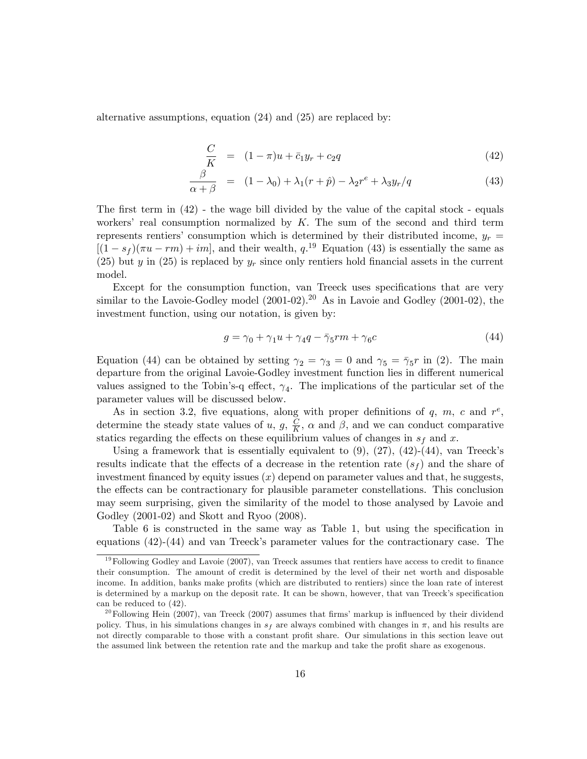alternative assumptions, equation (24) and (25) are replaced by:

$$
\frac{C}{K} = (1 - \pi)u + \bar{c}_1 y_r + c_2 q \tag{42}
$$

$$
\frac{\beta}{\alpha+\beta} = (1-\lambda_0) + \lambda_1(r+\hat{p}) - \lambda_2r^e + \lambda_3y_r/q \tag{43}
$$

The first term in  $(42)$  - the wage bill divided by the value of the capital stock - equals workers' real consumption normalized by  $K$ . The sum of the second and third term represents rentiers' consumption which is determined by their distributed income,  $y_r =$  $[(1 - s_f)(\pi u - rm) + im]$ , and their wealth,  $q^{19}$  Equation (43) is essentially the same as (25) but y in (25) is replaced by  $y_r$  since only rentiers hold financial assets in the current model.

Except for the consumption function, van Treeck uses specifications that are very similar to the Lavoie-Godley model  $(2001-02).^{20}$  As in Lavoie and Godley  $(2001-02)$ , the investment function, using our notation, is given by:

$$
g = \gamma_0 + \gamma_1 u + \gamma_4 q - \bar{\gamma}_5 r m + \gamma_6 c \tag{44}
$$

Equation (44) can be obtained by setting  $\gamma_2 = \gamma_3 = 0$  and  $\gamma_5 = \bar{\gamma}_5 r$  in (2). The main departure from the original Lavoie-Godley investment function lies in different numerical values assigned to the Tobin's-q effect,  $\gamma_4$ . The implications of the particular set of the parameter values will be discussed below.

As in section 3.2, five equations, along with proper definitions of  $q$ ,  $m$ ,  $c$  and  $r^e$ , determine the steady state values of u, g,  $\frac{C}{K}$  $\frac{C}{K}$ ,  $\alpha$  and  $\beta$ , and we can conduct comparative statics regarding the effects on these equilibrium values of changes in  $s_f$  and x.

Using a framework that is essentially equivalent to  $(9)$ ,  $(27)$ ,  $(42)$ - $(44)$ , van Treeck's results indicate that the effects of a decrease in the retention rate  $(s_f)$  and the share of investment financed by equity issues  $(x)$  depend on parameter values and that, he suggests, the effects can be contractionary for plausible parameter constellations. This conclusion may seem surprising, given the similarity of the model to those analysed by Lavoie and Godley (2001-02) and Skott and Ryoo (2008).

Table 6 is constructed in the same way as Table 1, but using the specification in equations  $(42)-(44)$  and van Treeck's parameter values for the contractionary case. The

 $19$  Following Godley and Lavoie (2007), van Treeck assumes that rentiers have access to credit to finance their consumption. The amount of credit is determined by the level of their net worth and disposable income. In addition, banks make profits (which are distributed to rentiers) since the loan rate of interest is determined by a markup on the deposit rate. It can be shown, however, that van Treeck's specification can be reduced to (42).

 $^{20}$ Following Hein (2007), van Treeck (2007) assumes that firms' markup is influenced by their dividend policy. Thus, in his simulations changes in  $s_f$  are always combined with changes in  $\pi$ , and his results are not directly comparable to those with a constant profit share. Our simulations in this section leave out the assumed link between the retention rate and the markup and take the profit share as exogenous.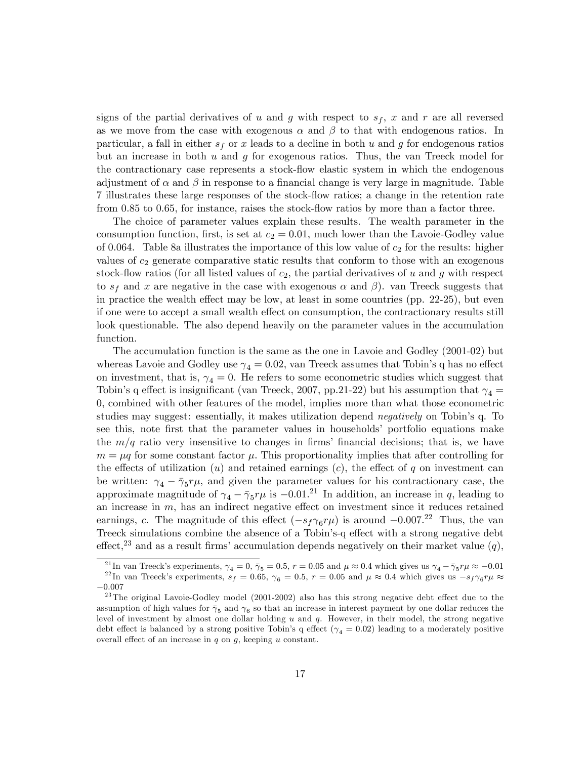signs of the partial derivatives of u and g with respect to  $s_f$ , x and r are all reversed as we move from the case with exogenous  $\alpha$  and  $\beta$  to that with endogenous ratios. In particular, a fall in either  $s_f$  or x leads to a decline in both u and g for endogenous ratios but an increase in both  $u$  and  $g$  for exogenous ratios. Thus, the van Treeck model for the contractionary case represents a stock-flow elastic system in which the endogenous adjustment of  $\alpha$  and  $\beta$  in response to a financial change is very large in magnitude. Table 7 illustrates these large responses of the stock-áow ratios; a change in the retention rate from  $0.85$  to  $0.65$ , for instance, raises the stock-flow ratios by more than a factor three.

The choice of parameter values explain these results. The wealth parameter in the consumption function, first, is set at  $c_2 = 0.01$ , much lower than the Lavoie-Godley value of 0.064. Table 8a illustrates the importance of this low value of  $c_2$  for the results: higher values of  $c_2$  generate comparative static results that conform to those with an exogenous stock-flow ratios (for all listed values of  $c_2$ , the partial derivatives of u and g with respect to  $s_f$  and x are negative in the case with exogenous  $\alpha$  and  $\beta$ ). van Treeck suggests that in practice the wealth effect may be low, at least in some countries (pp.  $22-25$ ), but even if one were to accept a small wealth effect on consumption, the contractionary results still look questionable. The also depend heavily on the parameter values in the accumulation function.

The accumulation function is the same as the one in Lavoie and Godley (2001-02) but whereas Lavoie and Godley use  $\gamma_4 = 0.02$ , van Treeck assumes that Tobin's q has no effect on investment, that is,  $\gamma_4 = 0$ . He refers to some econometric studies which suggest that Tobin's q effect is insignificant (van Treeck, 2007, pp.21-22) but his assumption that  $\gamma_4$ 0, combined with other features of the model, implies more than what those econometric studies may suggest: essentially, it makes utilization depend *negatively* on Tobin's q. To see this, note first that the parameter values in households' portfolio equations make the  $m/q$  ratio very insensitive to changes in firms' financial decisions; that is, we have  $m = \mu q$  for some constant factor  $\mu$ . This proportionality implies that after controlling for the effects of utilization  $(u)$  and retained earnings  $(c)$ , the effect of q on investment can be written:  $\gamma_4 - \bar{\gamma}_5 r \mu$ , and given the parameter values for his contractionary case, the approximate magnitude of  $\gamma_4 - \bar{\gamma}_5 r\mu$  is  $-0.01^{21}$  In addition, an increase in q, leading to an increase in  $m$ , has an indirect negative effect on investment since it reduces retained earnings, c. The magnitude of this effect  $(-s_f \gamma_6 r \mu)$  is around  $-0.007$ .<sup>22</sup> Thus, the van Treeck simulations combine the absence of a Tobin's-q effect with a strong negative debt effect,<sup>23</sup> and as a result firms' accumulation depends negatively on their market value  $(q)$ ,

<sup>&</sup>lt;sup>21</sup>In van Treeck's experiments,  $\gamma_4 = 0$ ,  $\bar{\gamma}_5 = 0.5$ ,  $r = 0.05$  and  $\mu \approx 0.4$  which gives us  $\gamma_4 - \bar{\gamma}_5 r \mu \approx -0.01$ <sup>22</sup>In van Treeck's experiments,  $s_f = 0.65$ ,  $\gamma_6 = 0.5$ ,  $r = 0.05$  and  $\mu \approx 0.4$  which gives us  $-s_f \gamma_6 r \mu \approx$  $-0.007$ 

 $^{23}$ The original Lavoie-Godley model (2001-2002) also has this strong negative debt effect due to the assumption of high values for  $\bar{\gamma}_5$  and  $\gamma_6$  so that an increase in interest payment by one dollar reduces the level of investment by almost one dollar holding  $u$  and  $q$ . However, in their model, the strong negative debt effect is balanced by a strong positive Tobin's q effect ( $\gamma_4 = 0.02$ ) leading to a moderately positive overall effect of an increase in  $q$  on  $q$ , keeping u constant.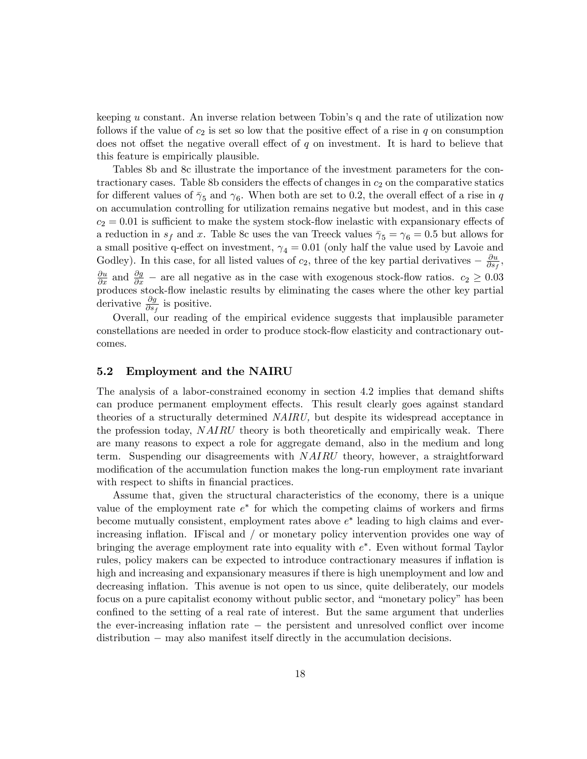keeping  $u$  constant. An inverse relation between Tobin's q and the rate of utilization now follows if the value of  $c_2$  is set so low that the positive effect of a rise in q on consumption does not offset the negative overall effect of q on investment. It is hard to believe that this feature is empirically plausible.

Tables 8b and 8c illustrate the importance of the investment parameters for the contractionary cases. Table 8b considers the effects of changes in  $c_2$  on the comparative statics for different values of  $\bar{\gamma}_5$  and  $\gamma_6$ . When both are set to 0.2, the overall effect of a rise in q on accumulation controlling for utilization remains negative but modest, and in this case  $c_2 = 0.01$  is sufficient to make the system stock-flow inelastic with expansionary effects of a reduction in  $s_f$  and x. Table 8c uses the van Treeck values  $\bar{\gamma}_5 = \gamma_6 = 0.5$  but allows for a small positive q-effect on investment,  $\gamma_4 = 0.01$  (only half the value used by Lavoie and Godley). In this case, for all listed values of  $c_2$ , three of the key partial derivatives  $-\frac{\partial u}{\partial s_1}$  $\frac{\partial u}{\partial s_f},$  $\frac{\partial u}{\partial x}$  and  $\frac{\partial g}{\partial x}$  – are all negative as in the case with exogenous stock-flow ratios.  $c_2 \ge 0.03$ produces stock-áow inelastic results by eliminating the cases where the other key partial derivative  $\frac{\partial g}{\partial s_f}$  is positive.

Overall, our reading of the empirical evidence suggests that implausible parameter constellations are needed in order to produce stock-áow elasticity and contractionary outcomes.

#### 5.2 Employment and the NAIRU

The analysis of a labor-constrained economy in section 4.2 implies that demand shifts can produce permanent employment effects. This result clearly goes against standard theories of a structurally determined NAIRU, but despite its widespread acceptance in the profession today, NAIRU theory is both theoretically and empirically weak. There are many reasons to expect a role for aggregate demand, also in the medium and long term. Suspending our disagreements with NAIRU theory, however, a straightforward modification of the accumulation function makes the long-run employment rate invariant with respect to shifts in financial practices.

Assume that, given the structural characteristics of the economy, there is a unique value of the employment rate  $e^*$  for which the competing claims of workers and firms become mutually consistent, employment rates above  $e^*$  leading to high claims and everincreasing inflation. IFiscal and  $/$  or monetary policy intervention provides one way of bringing the average employment rate into equality with  $e^*$ . Even without formal Taylor rules, policy makers can be expected to introduce contractionary measures if ináation is high and increasing and expansionary measures if there is high unemployment and low and decreasing inflation. This avenue is not open to us since, quite deliberately, our models focus on a pure capitalist economy without public sector, and "monetary policy" has been confined to the setting of a real rate of interest. But the same argument that underlies the ever-increasing inflation rate  $-$  the persistent and unresolved conflict over income  $distribution - may also manifest itself directly in the accumulation decisions.$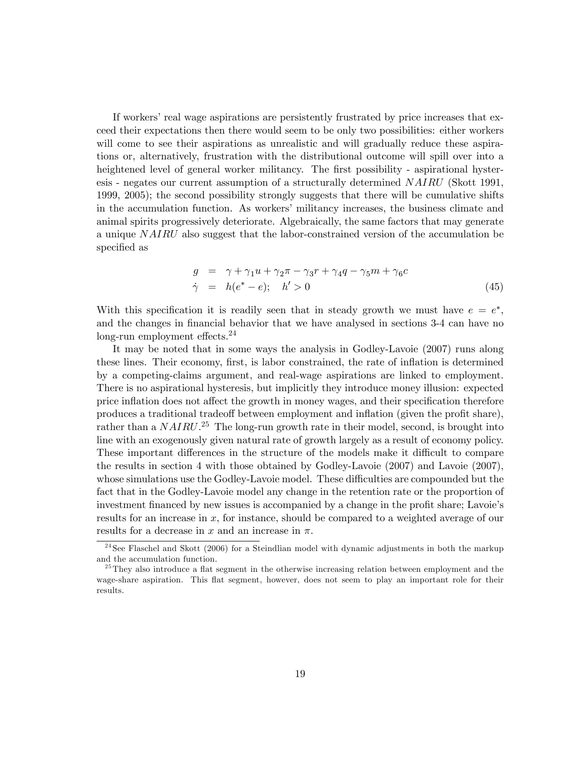If workers' real wage aspirations are persistently frustrated by price increases that exceed their expectations then there would seem to be only two possibilities: either workers will come to see their aspirations as unrealistic and will gradually reduce these aspirations or, alternatively, frustration with the distributional outcome will spill over into a heightened level of general worker militancy. The first possibility - aspirational hysteresis - negates our current assumption of a structurally determined NAIRU (Skott 1991, 1999, 2005); the second possibility strongly suggests that there will be cumulative shifts in the accumulation function. As workers' militancy increases, the business climate and animal spirits progressively deteriorate. Algebraically, the same factors that may generate a unique NAIRU also suggest that the labor-constrained version of the accumulation be specified as

$$
g = \gamma + \gamma_1 u + \gamma_2 \pi - \gamma_3 r + \gamma_4 q - \gamma_5 m + \gamma_6 c
$$
  
\n
$$
\dot{\gamma} = h(e^* - e); \quad h' > 0
$$
\n(45)

With this specification it is readily seen that in steady growth we must have  $e = e^*$ , and the changes in financial behavior that we have analysed in sections 3-4 can have no  $long-run$  employment effects.<sup>24</sup>

It may be noted that in some ways the analysis in Godley-Lavoie (2007) runs along these lines. Their economy, first, is labor constrained, the rate of inflation is determined by a competing-claims argument, and real-wage aspirations are linked to employment. There is no aspirational hysteresis, but implicitly they introduce money illusion: expected price inflation does not affect the growth in money wages, and their specification therefore produces a traditional tradeoff between employment and inflation (given the profit share), rather than a  $NAIRU$ <sup>25</sup> The long-run growth rate in their model, second, is brought into line with an exogenously given natural rate of growth largely as a result of economy policy. These important differences in the structure of the models make it difficult to compare the results in section 4 with those obtained by Godley-Lavoie (2007) and Lavoie (2007), whose simulations use the Godley-Lavoie model. These difficulties are compounded but the fact that in the Godley-Lavoie model any change in the retention rate or the proportion of investment financed by new issues is accompanied by a change in the profit share; Lavoie's results for an increase in  $x$ , for instance, should be compared to a weighted average of our results for a decrease in x and an increase in  $\pi$ .

 $^{24}$ See Flaschel and Skott (2006) for a Steindlian model with dynamic adjustments in both the markup and the accumulation function.

 $25$ They also introduce a flat segment in the otherwise increasing relation between employment and the wage-share aspiration. This flat segment, however, does not seem to play an important role for their results.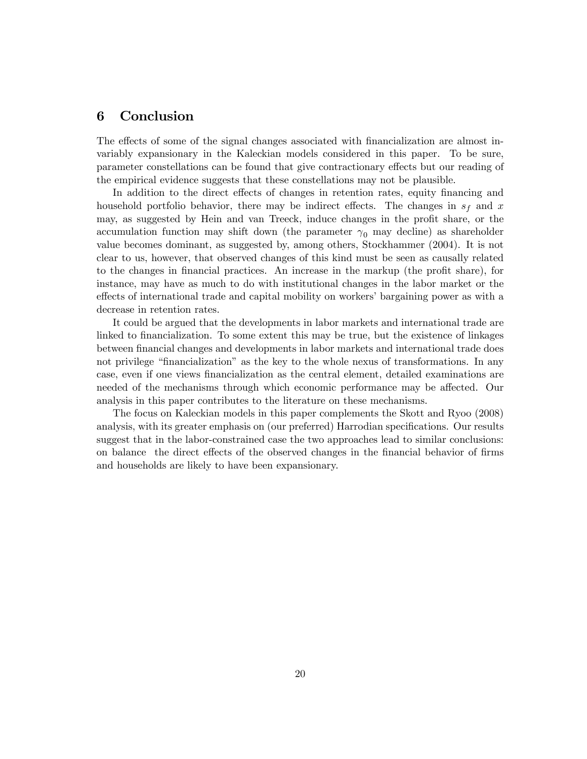## 6 Conclusion

The effects of some of the signal changes associated with financialization are almost invariably expansionary in the Kaleckian models considered in this paper. To be sure, parameter constellations can be found that give contractionary effects but our reading of the empirical evidence suggests that these constellations may not be plausible.

In addition to the direct effects of changes in retention rates, equity financing and household portfolio behavior, there may be indirect effects. The changes in  $s_f$  and x may, as suggested by Hein and van Treeck, induce changes in the profit share, or the accumulation function may shift down (the parameter  $\gamma_0$  may decline) as shareholder value becomes dominant, as suggested by, among others, Stockhammer (2004). It is not clear to us, however, that observed changes of this kind must be seen as causally related to the changes in financial practices. An increase in the markup (the profit share), for instance, may have as much to do with institutional changes in the labor market or the effects of international trade and capital mobility on workers' bargaining power as with a decrease in retention rates.

It could be argued that the developments in labor markets and international trade are linked to financialization. To some extent this may be true, but the existence of linkages between financial changes and developments in labor markets and international trade does not privilege "financialization" as the key to the whole nexus of transformations. In any case, even if one views Önancialization as the central element, detailed examinations are needed of the mechanisms through which economic performance may be affected. Our analysis in this paper contributes to the literature on these mechanisms.

The focus on Kaleckian models in this paper complements the Skott and Ryoo (2008) analysis, with its greater emphasis on (our preferred) Harrodian specifications. Our results suggest that in the labor-constrained case the two approaches lead to similar conclusions: on balance the direct effects of the observed changes in the financial behavior of firms and households are likely to have been expansionary.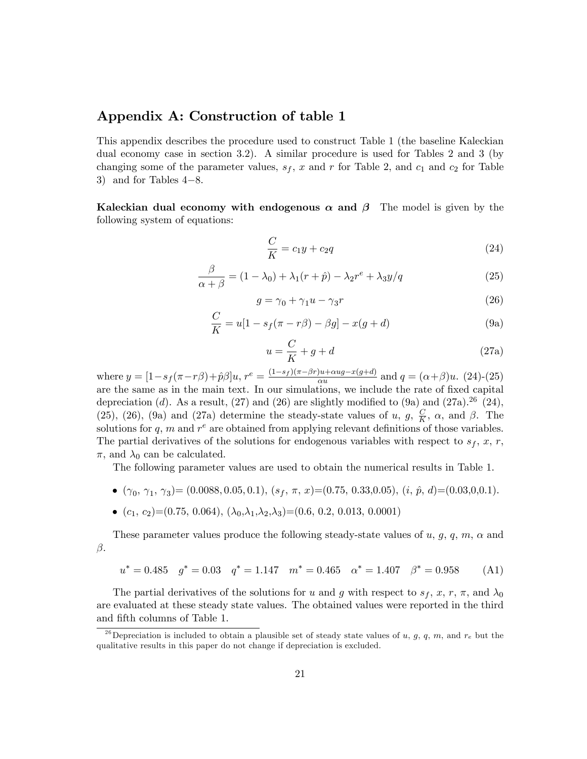## Appendix A: Construction of table 1

This appendix describes the procedure used to construct Table 1 (the baseline Kaleckian dual economy case in section 3.2). A similar procedure is used for Tables 2 and 3 (by changing some of the parameter values,  $s_f$ , x and r for Table 2, and  $c_1$  and  $c_2$  for Table 3) and for Tables  $4-8$ .

Kaleckian dual economy with endogenous  $\alpha$  and  $\beta$ . The model is given by the following system of equations:

$$
\frac{C}{K} = c_1 y + c_2 q \tag{24}
$$

$$
\frac{\beta}{\alpha + \beta} = (1 - \lambda_0) + \lambda_1 (r + \hat{p}) - \lambda_2 r^e + \lambda_3 y / q \tag{25}
$$

$$
g = \gamma_0 + \gamma_1 u - \gamma_3 r \tag{26}
$$

$$
\frac{C}{K} = u[1 - s_f(\pi - r\beta) - \beta g] - x(g + d)
$$
\n(9a)

$$
u = \frac{C}{K} + g + d \tag{27a}
$$

where  $y = \left[1 - s_f(\pi - r\beta) + \hat{p}\beta\right]u$ ,  $r^e = \frac{(1 - s_f)(\pi - \beta r)u + \alpha ug - x(g+d)}{\alpha u}$  and  $q = (\alpha + \beta)u$ . (24)-(25) are the same as in the main text. In our simulations, we include the rate of fixed capital depreciation (d). As a result, (27) and (26) are slightly modified to (9a) and (27a).<sup>26</sup> (24), (25), (26), (9a) and (27a) determine the steady-state values of u, g,  $\frac{C}{K}$  $\frac{C}{K}$ ,  $\alpha$ , and  $\beta$ . The solutions for  $q$ ,  $m$  and  $r^e$  are obtained from applying relevant definitions of those variables. The partial derivatives of the solutions for endogenous variables with respect to  $s_f$ , x, r,  $\pi$ , and  $\lambda_0$  can be calculated.

The following parameter values are used to obtain the numerical results in Table 1.

- $(\gamma_0, \gamma_1, \gamma_3) = (0.0088, 0.05, 0.1), (s_f, \pi, x) = (0.75, 0.33, 0.05), (i, \hat{p}, d) = (0.03, 0, 0.1).$
- $(c_1, c_2)=(0.75, 0.064), (\lambda_0, \lambda_1, \lambda_2, \lambda_3)=(0.6, 0.2, 0.013, 0.0001)$

These parameter values produce the following steady-state values of  $u, g, q, m, \alpha$  and  $\beta$ .

$$
u^* = 0.485 \quad g^* = 0.03 \quad q^* = 1.147 \quad m^* = 0.465 \quad \alpha^* = 1.407 \quad \beta^* = 0.958 \tag{A1}
$$

The partial derivatives of the solutions for u and g with respect to  $s_f$ , x, r,  $\pi$ , and  $\lambda_0$ are evaluated at these steady state values. The obtained values were reported in the third and fifth columns of Table 1.

<sup>&</sup>lt;sup>26</sup> Depreciation is included to obtain a plausible set of steady state values of u, g, q, m, and  $r_e$  but the qualitative results in this paper do not change if depreciation is excluded.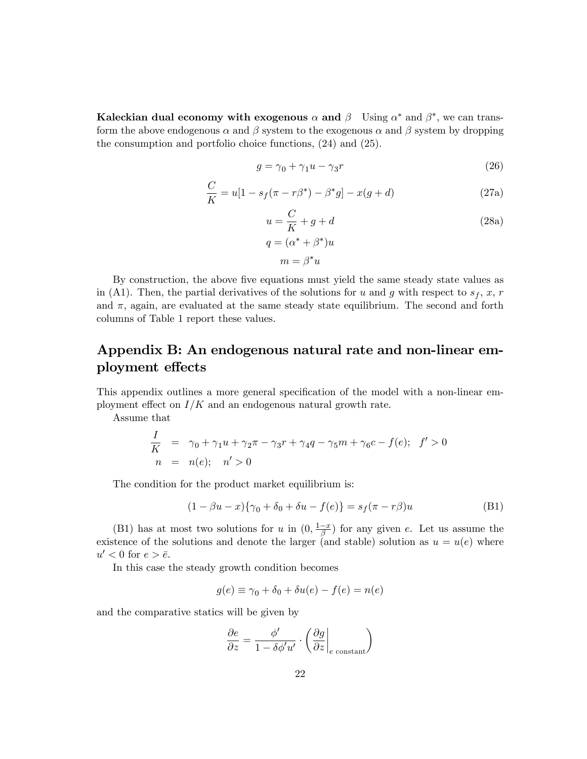Kaleckian dual economy with exogenous  $\alpha$  and  $\beta$  Using  $\alpha^*$  and  $\beta^*$ , we can transform the above endogenous  $\alpha$  and  $\beta$  system to the exogenous  $\alpha$  and  $\beta$  system by dropping the consumption and portfolio choice functions, (24) and (25).

$$
g = \gamma_0 + \gamma_1 u - \gamma_3 r \tag{26}
$$

$$
\frac{C}{K} = u[1 - s_f(\pi - r\beta^*) - \beta^*g] - x(g + d)
$$
\n(27a)

$$
u = \frac{C}{K} + g + d \tag{28a}
$$

 $q = (\alpha^* + \beta^*)u$  $m = \beta^* u$ 

By construction, the above five equations must yield the same steady state values as in (A1). Then, the partial derivatives of the solutions for u and g with respect to  $s_f, x, r$ and  $\pi$ , again, are evaluated at the same steady state equilibrium. The second and forth columns of Table 1 report these values.

## Appendix B: An endogenous natural rate and non-linear employment effects

This appendix outlines a more general specification of the model with a non-linear employment effect on  $I/K$  and an endogenous natural growth rate.

Assume that

$$
\frac{I}{K} = \gamma_0 + \gamma_1 u + \gamma_2 \pi - \gamma_3 r + \gamma_4 q - \gamma_5 m + \gamma_6 c - f(e); \quad f' > 0
$$
  

$$
n = n(e); \quad n' > 0
$$

The condition for the product market equilibrium is:

$$
(1 - \beta u - x)\{\gamma_0 + \delta_0 + \delta u - f(e)\} = s_f(\pi - r\beta)u
$$
 (B1)

(B1) has at most two solutions for u in  $(0, \frac{1-x}{\beta})$  for any given e. Let us assume the existence of the solutions and denote the larger (and stable) solution as  $u = u(e)$  where  $u' < 0$  for  $e > \bar{e}$ .

In this case the steady growth condition becomes

$$
g(e) \equiv \gamma_0 + \delta_0 + \delta u(e) - f(e) = n(e)
$$

and the comparative statics will be given by

$$
\frac{\partial e}{\partial z} = \frac{\phi'}{1 - \delta \phi' u'} \cdot \left(\frac{\partial g}{\partial z}\bigg|_{e \text{ constant}}\right)
$$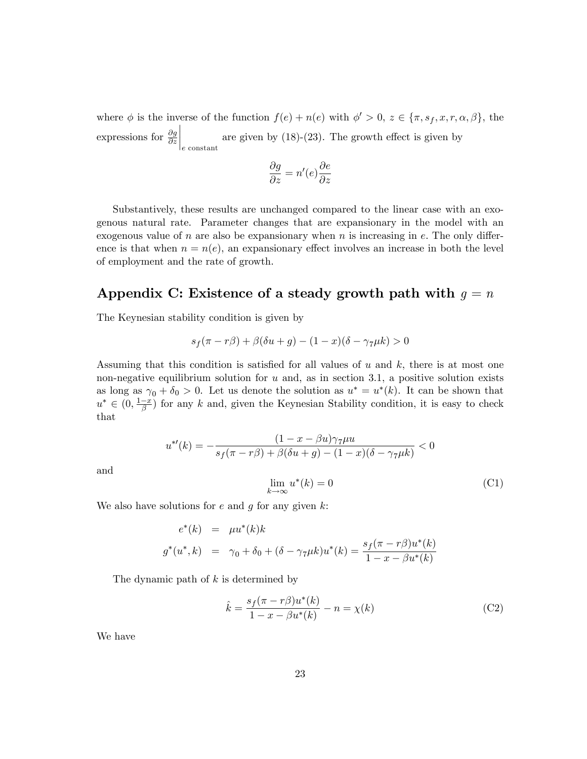where  $\phi$  is the inverse of the function  $f(e) + n(e)$  with  $\phi' > 0$ ,  $z \in {\pi, s_f, x, r, \alpha, \beta}$ , the expressions for  $\frac{\partial g}{\partial z}$  $\Bigg|_{e\ {\rm constant}}$ are given by  $(18)-(23)$ . The growth effect is given by

$$
\frac{\partial g}{\partial z} = n'(e) \frac{\partial e}{\partial z}
$$

Substantively, these results are unchanged compared to the linear case with an exogenous natural rate. Parameter changes that are expansionary in the model with an exogenous value of n are also be expansionary when n is increasing in  $e$ . The only difference is that when  $n = n(e)$ , an expansionary effect involves an increase in both the level of employment and the rate of growth.

## Appendix C: Existence of a steady growth path with  $g = n$

The Keynesian stability condition is given by

$$
s_f(\pi - r\beta) + \beta(\delta u + g) - (1 - x)(\delta - \gamma_7 \mu k) > 0
$$

Assuming that this condition is satisfied for all values of  $u$  and  $k$ , there is at most one non-negative equilibrium solution for  $u$  and, as in section 3.1, a positive solution exists as long as  $\gamma_0 + \delta_0 > 0$ . Let us denote the solution as  $u^* = u^*(k)$ . It can be shown that  $u^* \in (0, \frac{1-x}{\beta})$  for any k and, given the Keynesian Stability condition, it is easy to check that

$$
u^{*'}(k) = -\frac{(1 - x - \beta u)\gamma_7 \mu u}{s_f(\pi - r\beta) + \beta(\delta u + g) - (1 - x)(\delta - \gamma_7 \mu k)} < 0
$$

and

$$
\lim_{k \to \infty} u^*(k) = 0 \tag{C1}
$$

We also have solutions for  $e$  and  $g$  for any given  $k$ :

$$
e^*(k) = \mu u^*(k)k
$$
  

$$
g^*(u^*, k) = \gamma_0 + \delta_0 + (\delta - \gamma_7 \mu k)u^*(k) = \frac{s_f(\pi - r\beta)u^*(k)}{1 - x - \beta u^*(k)}
$$

The dynamic path of  $k$  is determined by

$$
\hat{k} = \frac{s_f(\pi - r\beta)u^*(k)}{1 - x - \beta u^*(k)} - n = \chi(k)
$$
\n(C2)

We have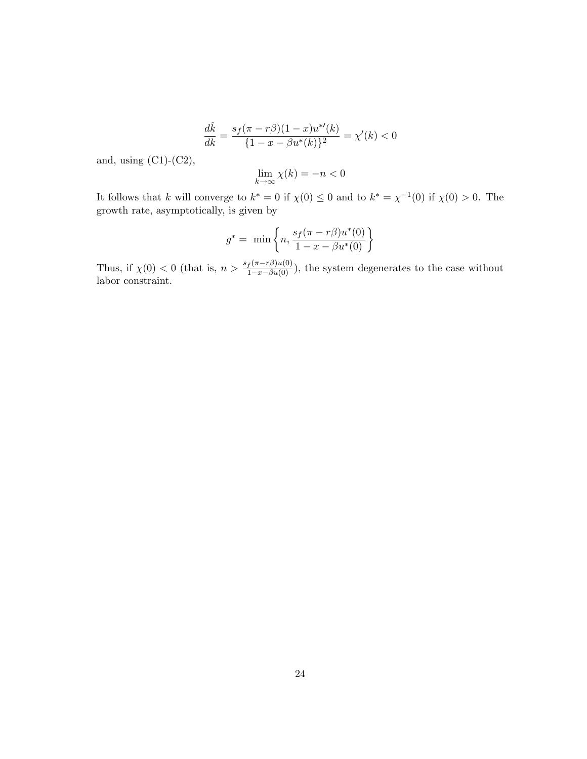$$
\frac{d\hat{k}}{dk} = \frac{s_f(\pi - r\beta)(1 - x)u^{*'}(k)}{\{1 - x - \beta u^{*}(k)\}^2} = \chi'(k) < 0
$$

and, using  $(C1)-(C2)$ ,

$$
\lim_{k \to \infty} \chi(k) = -n < 0
$$

It follows that k will converge to  $k^* = 0$  if  $\chi(0) \le 0$  and to  $k^* = \chi^{-1}(0)$  if  $\chi(0) > 0$ . The growth rate, asymptotically, is given by

$$
g^* = \min \left\{ n, \frac{s_f(\pi - r\beta)u^*(0)}{1 - x - \beta u^*(0)} \right\}
$$

Thus, if  $\chi(0) < 0$  (that is,  $n > \frac{s_f(\pi - r\beta)u(0)}{1 - x - \beta u(0)}$ ), the system degenerates to the case without labor constraint.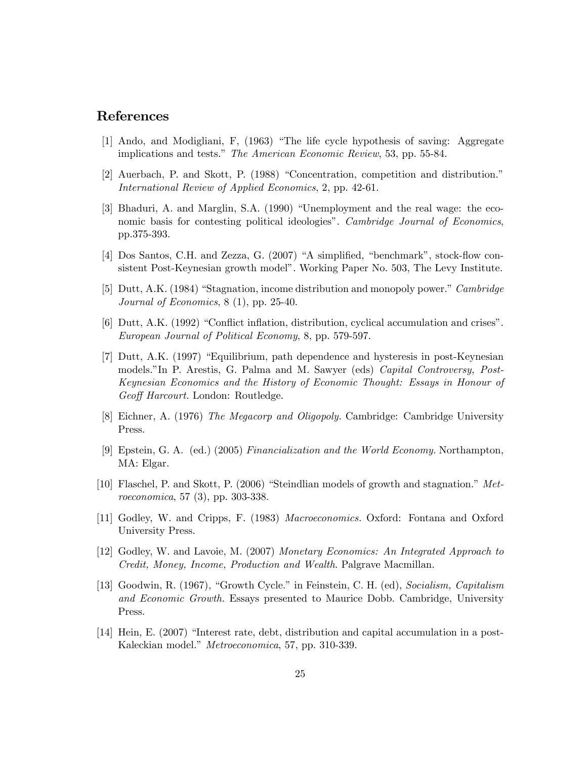## References

- [1] Ando, and Modigliani, F, (1963) "The life cycle hypothesis of saving: Aggregate implications and tests." The American Economic Review, 53, pp. 55-84.
- [2] Auerbach, P. and Skott, P. (1988) "Concentration, competition and distribution." International Review of Applied Economics, 2, pp. 42-61.
- [3] Bhaduri, A. and Marglin, S.A. (1990) "Unemployment and the real wage: the economic basis for contesting political ideologies". Cambridge Journal of Economics, pp.375-393.
- [4] Dos Santos, C.H. and Zezza, G.  $(2007)$  "A simplified, "benchmark", stock-flow consistent Post-Keynesian growth model". Working Paper No. 503, The Levy Institute.
- [5] Dutt, A.K. (1984) "Stagnation, income distribution and monopoly power." Cambridge Journal of Economics, 8 (1), pp. 25-40.
- [6] Dutt, A.K. (1992) "Conflict inflation, distribution, cyclical accumulation and crises". European Journal of Political Economy, 8, pp. 579-597.
- [7] Dutt, A.K. (1997) "Equilibrium, path dependence and hysteresis in post-Keynesian models.îIn P. Arestis, G. Palma and M. Sawyer (eds) Capital Controversy, Post-Keynesian Economics and the History of Economic Thought: Essays in Honour of Geoff Harcourt. London: Routledge.
- [8] Eichner, A. (1976) The Megacorp and Oligopoly. Cambridge: Cambridge University Press.
- [9] Epstein, G. A. (ed.) (2005) Financialization and the World Economy. Northampton, MA: Elgar.
- [10] Flaschel, P. and Skott, P. (2006) "Steindlian models of growth and stagnation."  $Met$ roeconomica, 57 (3), pp. 303-338.
- [11] Godley, W. and Cripps, F. (1983) Macroeconomics. Oxford: Fontana and Oxford University Press.
- [12] Godley, W. and Lavoie, M. (2007) Monetary Economics: An Integrated Approach to Credit, Money, Income, Production and Wealth. Palgrave Macmillan.
- [13] Goodwin, R. (1967), "Growth Cycle." in Feinstein, C. H. (ed), Socialism, Capitalism and Economic Growth. Essays presented to Maurice Dobb. Cambridge, University Press.
- $[14]$  Hein, E. (2007) "Interest rate, debt, distribution and capital accumulation in a post-Kaleckian model." *Metroeconomica*, 57, pp. 310-339.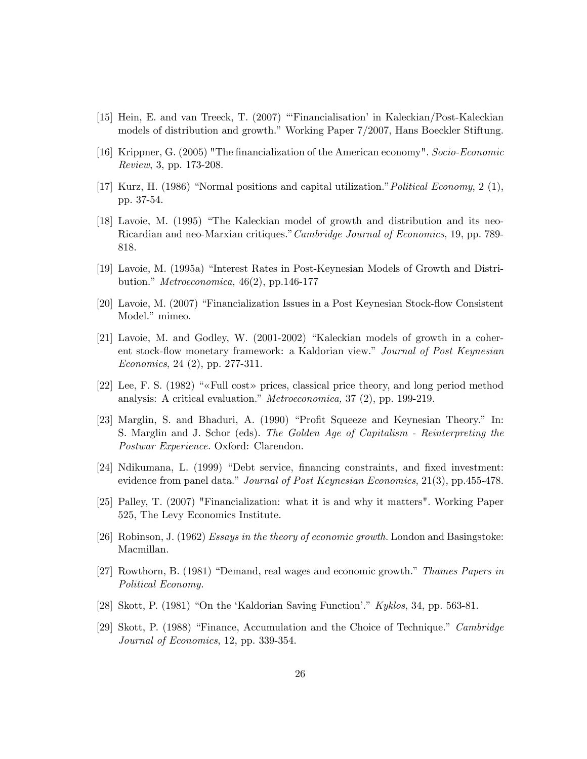- [15] Hein, E. and van Treeck, T. (2007) "'Financialisation' in Kaleckian/Post-Kaleckian models of distribution and growth." Working Paper 7/2007, Hans Boeckler Stiftung.
- [16] Krippner, G. (2005) "The Önancialization of the American economy". Socio-Economic Review, 3, pp. 173-208.
- [17] Kurz, H. (1986) "Normal positions and capital utilization." Political Economy, 2 (1), pp. 37-54.
- [18] Lavoie, M. (1995) "The Kaleckian model of growth and distribution and its neo-Ricardian and neo-Marxian critiques." Cambridge Journal of Economics, 19, pp. 789-818.
- [19] Lavoie, M. (1995a) "Interest Rates in Post-Keynesian Models of Growth and Distribution." *Metroeconomica*,  $46(2)$ , pp.146-177
- [20] Lavoie, M. (2007) "Financialization Issues in a Post Keynesian Stock-flow Consistent Model." mimeo.
- $[21]$  Lavoie, M. and Godley, W.  $(2001-2002)$  "Kaleckian models of growth in a coherent stock-flow monetary framework: a Kaldorian view." Journal of Post Keynesian Economics, 24 (2), pp. 277-311.
- [22] Lee, F. S. (1982) "«Full cost» prices, classical price theory, and long period method analysis: A critical evaluation."  $Metroeconomica$ , 37 (2), pp. 199-219.
- [23] Marglin, S. and Bhaduri, A. (1990) "Profit Squeeze and Keynesian Theory." In: S. Marglin and J. Schor (eds). The Golden Age of Capitalism - Reinterpreting the Postwar Experience. Oxford: Clarendon.
- [24] Ndikumana, L. (1999) "Debt service, financing constraints, and fixed investment: evidence from panel data." Journal of Post Keynesian Economics,  $21(3)$ , pp.455-478.
- [25] Palley, T. (2007) "Financialization: what it is and why it matters". Working Paper 525, The Levy Economics Institute.
- [26] Robinson, J. (1962) Essays in the theory of economic growth. London and Basingstoke: Macmillan.
- [27] Rowthorn, B.  $(1981)$  "Demand, real wages and economic growth." *Thames Papers in* Political Economy.
- [28] Skott, P. (1981) "On the 'Kaldorian Saving Function'."  $Kyklos, 34$ , pp. 563-81.
- [29] Skott, P. (1988) "Finance, Accumulation and the Choice of Technique." Cambridge Journal of Economics, 12, pp. 339-354.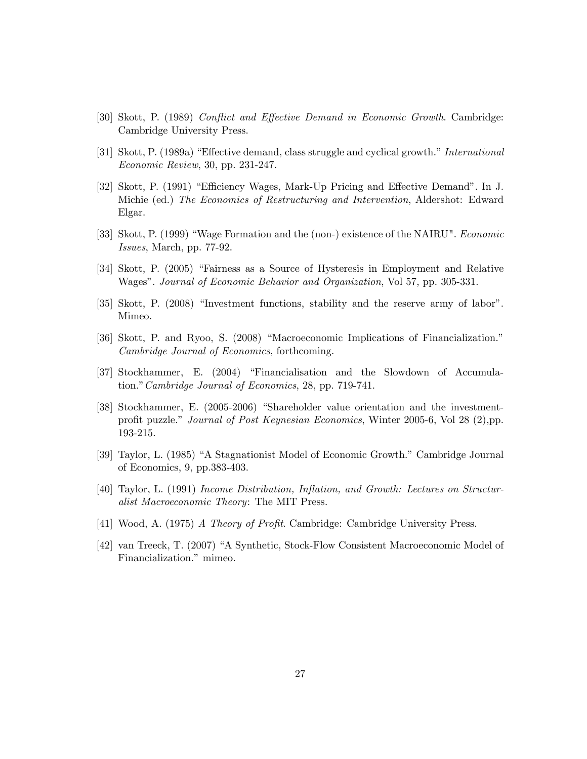- [30] Skott, P. (1989) Conflict and Effective Demand in Economic Growth. Cambridge: Cambridge University Press.
- [31] Skott, P. (1989a) "Effective demand, class struggle and cyclical growth." International Economic Review, 30, pp. 231-247.
- [32] Skott, P. (1991) "Efficiency Wages, Mark-Up Pricing and Effective Demand". In J. Michie (ed.) The Economics of Restructuring and Intervention, Aldershot: Edward Elgar.
- [33] Skott, P. (1999) "Wage Formation and the (non-) existence of the NAIRU". *Economic* Issues, March, pp. 77-92.
- [34] Skott, P. (2005) "Fairness as a Source of Hysteresis in Employment and Relative Wages". Journal of Economic Behavior and Organization, Vol 57, pp. 305-331.
- [35] Skott, P. (2008) "Investment functions, stability and the reserve army of labor". Mimeo.
- [36] Skott, P. and Ryoo, S. (2008) "Macroeconomic Implications of Financialization." Cambridge Journal of Economics, forthcoming.
- [37] Stockhammer, E. (2004) "Financialisation and the Slowdown of Accumulation." Cambridge Journal of Economics, 28, pp. 719-741.
- [38] Stockhammer, E. (2005-2006) "Shareholder value orientation and the investmentprofit puzzle." Journal of Post Keynesian Economics, Winter 2005-6, Vol 28 (2),pp. 193-215.
- [39] Taylor, L. (1985) "A Stagnationist Model of Economic Growth." Cambridge Journal of Economics, 9, pp.383-403.
- [40] Taylor, L. (1991) Income Distribution, Inflation, and Growth: Lectures on Structuralist Macroeconomic Theory: The MIT Press.
- [41] Wood, A. (1975) A Theory of Profit. Cambridge: Cambridge University Press.
- [42] van Treeck, T. (2007) "A Synthetic, Stock-Flow Consistent Macroeconomic Model of Financialization." mimeo.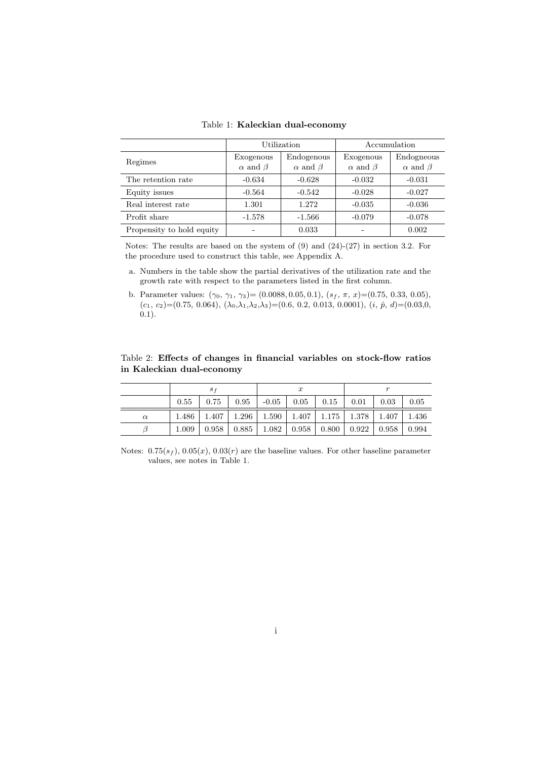|                           |                                   | Utilization                        | Accumulation                      |                                    |  |  |
|---------------------------|-----------------------------------|------------------------------------|-----------------------------------|------------------------------------|--|--|
| Regimes                   | Exogenous<br>$\alpha$ and $\beta$ | Endogenous<br>$\alpha$ and $\beta$ | Exogenous<br>$\alpha$ and $\beta$ | Endogneous<br>$\alpha$ and $\beta$ |  |  |
| The retention rate        | $-0.634$                          | $-0.628$                           | $-0.032$                          | $-0.031$                           |  |  |
| Equity issues             | $-0.564$                          | $-0.542$                           | $-0.028$                          | $-0.027$                           |  |  |
| Real interest rate        | 1.301                             | 1.272                              | $-0.035$                          | $-0.036$                           |  |  |
| Profit share              | $-1.578$                          | $-1.566$                           | $-0.079$                          | $-0.078$                           |  |  |
| Propensity to hold equity |                                   | 0.033                              |                                   | 0.002                              |  |  |

Table 1: Kaleckian dual-economy

Notes: The results are based on the system of (9) and (24)-(27) in section 3.2. For the procedure used to construct this table, see Appendix A.

- a. Numbers in the table show the partial derivatives of the utilization rate and the growth rate with respect to the parameters listed in the first column.
- b. Parameter values:  $(\gamma_0, \gamma_1, \gamma_3) = (0.0088, 0.05, 0.1), (s_f, \pi, x) = (0.75, 0.33, 0.05),$  $(c_1, c_2)=(0.75, 0.064), (\lambda_0, \lambda_1, \lambda_2, \lambda_3)=(0.6, 0.2, 0.013, 0.0001), (i, \hat{p}, d)=(0.03, 0,$ 0.1).

Table 2: Effects of changes in financial variables on stock-flow ratios in Kaleckian dual-economy

|          | $S_f$ |                                                                               |      |                 | $\boldsymbol{x}$  |                 |       |             |       |  |
|----------|-------|-------------------------------------------------------------------------------|------|-----------------|-------------------|-----------------|-------|-------------|-------|--|
|          | 0.55  | $\pm 0.75$                                                                    | 0.95 | $-0.05$         |                   | $0.05 \pm 0.15$ | 0.01  | 0.03        | 0.05  |  |
| $\alpha$ |       | $1.486$   $1.407$   $1.296$   $1.590$   $1.407$   $1.175$   $1.378$   $1.407$ |      |                 |                   |                 |       |             | 1.436 |  |
|          | 1.009 | $0.958$                                                                       |      | $0.885$   1.082 | $0.958 \pm 0.800$ |                 | 0.922 | $\,0.958\,$ | 0.994 |  |

Notes:  $0.75(s_f)$ ,  $0.05(x)$ ,  $0.03(r)$  are the baseline values. For other baseline parameter values, see notes in Table 1.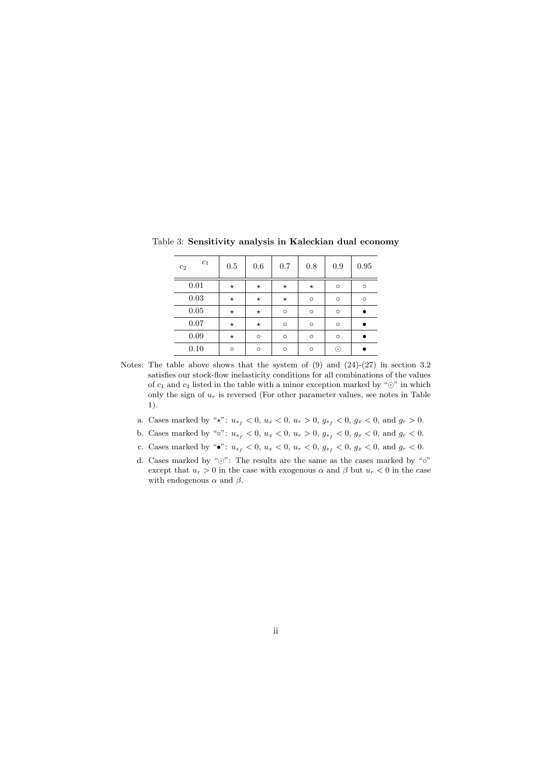| $c_1$<br>c <sub>2</sub> | 0.5        | 0.6        | 0.7      | 0.8     | 0.9     | 0.95    |
|-------------------------|------------|------------|----------|---------|---------|---------|
| 0.01                    | $^\star$   | $^{\star}$ | $^\star$ | $\star$ | $\circ$ | $\circ$ |
| 0.03                    | $^{\star}$ | $^{\star}$ | $\star$  | $\circ$ | $\circ$ | $\circ$ |
| 0.05                    | $^\star$   | $^{\star}$ | $\circ$  | $\circ$ | $\circ$ |         |
| 0.07                    | $^\star$   | $^\star$   | $\circ$  | $\circ$ | $\circ$ |         |
| 0.09                    | $^{\star}$ | $\circ$    |          | $\circ$ | $\circ$ |         |
| 0.10                    | $\circ$    | $\circ$    | $\circ$  | $\circ$ | $\odot$ |         |

Table 3: Sensitivity analysis in Kaleckian dual economy

- Notes: The table above shows that the system of (9) and (24)-(27) in section 3.2 satisfies our stock-flow inelasticity conditions for all combinations of the values of  $c_1$  and  $c_2$  listed in the table with a minor exception marked by " $\odot$ " in which only the sign of  $u_r$  is reversed (For other parameter values, see notes in Table 1).
	- a. Cases marked by " $x$ ":  $u_{s_f} < 0$ ,  $u_x < 0$ ,  $u_r > 0$ ,  $g_{s_f} < 0$ ,  $g_x < 0$ , and  $g_r > 0$ .
	- b. Cases marked by "∘":  $u_{s_f} < 0$ ,  $u_x < 0$ ,  $u_r > 0$ ,  $g_{s_f} < 0$ ,  $g_x < 0$ , and  $g_r < 0$ .
	- c. Cases marked by " $\bullet$ ":  $u_{s_f} < 0$ ,  $u_x < 0$ ,  $u_r < 0$ ,  $g_{s_f} < 0$ ,  $g_x < 0$ , and  $g_r < 0$ .
	- d. Cases marked by " $\odot$ ": The results are the same as the cases marked by " $\circ$ " except that  $u_r > 0$  in the case with exogenous  $\alpha$  and  $\beta$  but  $u_r < 0$  in the case with endogenous  $\alpha$  and  $\beta$ .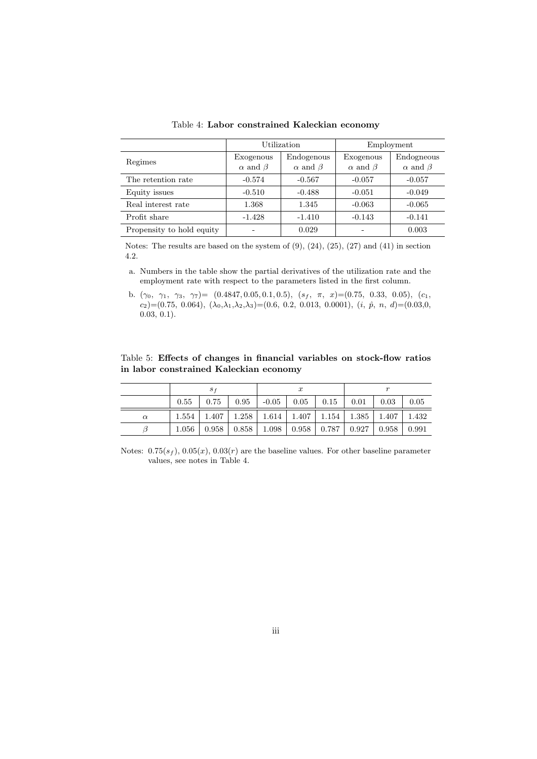|                           |                                   | Utilization                        | Employment                        |                                    |  |  |
|---------------------------|-----------------------------------|------------------------------------|-----------------------------------|------------------------------------|--|--|
| Regimes                   | Exogenous<br>$\alpha$ and $\beta$ | Endogenous<br>$\alpha$ and $\beta$ | Exogenous<br>$\alpha$ and $\beta$ | Endogneous<br>$\alpha$ and $\beta$ |  |  |
| The retention rate        | $-0.574$                          | $-0.567$                           | $-0.057$                          | $-0.057$                           |  |  |
| Equity issues             | $-0.510$                          | $-0.488$                           | $-0.051$                          | $-0.049$                           |  |  |
| Real interest rate        | 1.368                             | 1.345                              | $-0.063$                          | $-0.065$                           |  |  |
| Profit share              | $-1.428$                          | $-1.410$                           | $-0.143$                          | $-0.141$                           |  |  |
| Propensity to hold equity |                                   | 0.029                              |                                   | 0.003                              |  |  |

Table 4: Labor constrained Kaleckian economy

Notes: The results are based on the system of (9), (24), (25), (27) and (41) in section 4.2.

- a. Numbers in the table show the partial derivatives of the utilization rate and the employment rate with respect to the parameters listed in the first column.
- b.  $(\gamma_0, \gamma_1, \gamma_3, \gamma_7) = (0.4847, 0.05, 0.1, 0.5), (s_f, \pi, x) = (0.75, 0.33, 0.05), (c_1,$  $(c_2)=(0.75, 0.064), (\lambda_0, \lambda_1, \lambda_2, \lambda_3)=(0.6, 0.2, 0.013, 0.0001), (i, \hat{p}, n, d)=(0.03, 0,$ 0.03, 0.1).

Table 5: Effects of changes in financial variables on stock-flow ratios in labor constrained Kaleckian economy

|          | $S_f$     |                                                                               |                     |         | $\boldsymbol{x}$ |                   |       |       |       |  |
|----------|-----------|-------------------------------------------------------------------------------|---------------------|---------|------------------|-------------------|-------|-------|-------|--|
|          | 0.55      | 0.75                                                                          | 0.95                | $-0.05$ | 0.05             | 0.15              | 0.01  | 0.03  | 0.05  |  |
| $\alpha$ |           | $1.554$   $1.407$   $1.258$   $1.614$   $1.407$   $1.154$   $1.385$   $1.407$ |                     |         |                  |                   |       |       | 1.432 |  |
|          | $1.056\,$ | 0.958                                                                         | $\vert 0.858 \vert$ | 1.098   |                  | $0.958 \pm 0.787$ | 0.927 | 0.958 | 0.991 |  |

Notes:  $0.75(s_f)$ ,  $0.05(x)$ ,  $0.03(r)$  are the baseline values. For other baseline parameter values, see notes in Table 4.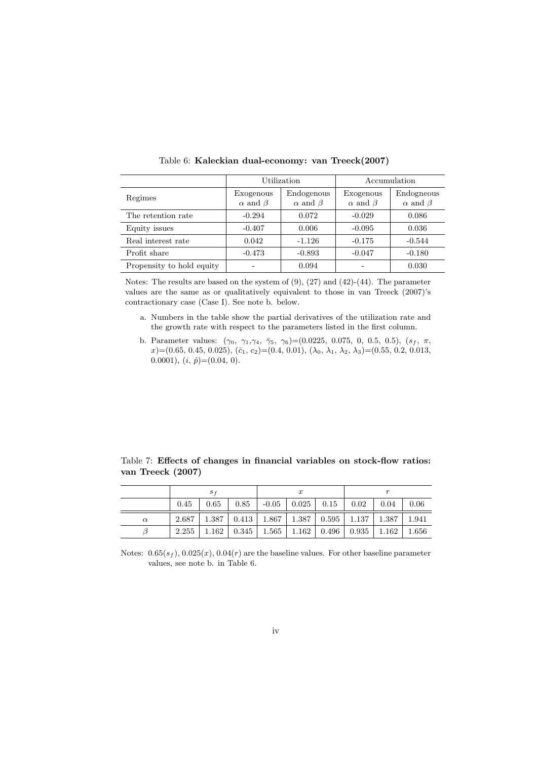|                           |                                   | Utilization                        | Accumulation                      |                                    |  |  |
|---------------------------|-----------------------------------|------------------------------------|-----------------------------------|------------------------------------|--|--|
| Regimes                   | Exogenous<br>$\alpha$ and $\beta$ | Endogenous<br>$\alpha$ and $\beta$ | Exogenous<br>$\alpha$ and $\beta$ | Endogneous<br>$\alpha$ and $\beta$ |  |  |
| The retention rate        | $-0.294$                          | 0.072                              | $-0.029$                          | 0.086                              |  |  |
| Equity issues             | $-0.407$                          | 0.006                              | $-0.095$                          | 0.036                              |  |  |
| Real interest rate        | 0.042                             | $-1.126$                           | $-0.175$                          | $-0.544$                           |  |  |
| Profit share              | $-0.473$                          | $-0.893$                           | $-0.047$                          | $-0.180$                           |  |  |
| Propensity to hold equity |                                   | 0.094                              |                                   | 0.030                              |  |  |

Table 6: Kaleckian dual-economy: van Treeck(2007)

Notes: The results are based on the system of (9), (27) and (42)-(44). The parameter values are the same as or qualitatively equivalent to those in van Treeck (2007)'s contractionary case (Case I). See note b. below.

- a. Numbers in the table show the partial derivatives of the utilization rate and the growth rate with respect to the parameters listed in the first column.
- b. Parameter values:  $(\gamma_0, \gamma_1, \gamma_4, \bar{\gamma}_5, \gamma_6) = (0.0225, 0.075, 0, 0.5, 0.5), (s_f, \pi,$  $(x)=(0.65, 0.45, 0.025), (\bar{c}_1, c_2)=(0.4, 0.01), (\lambda_0, \lambda_1, \lambda_2, \lambda_3)=(0.55, 0.2, 0.013,$ 0.0001),  $(i, \hat{p}) = (0.04, 0)$ .

Table 7: Effects of changes in financial variables on stock-flow ratios: van Treeck (2007)

|          | $S_f$ |         |       |           | $\boldsymbol{x}$       |                                                     |       |       |        |  |
|----------|-------|---------|-------|-----------|------------------------|-----------------------------------------------------|-------|-------|--------|--|
|          | 0.45  | 0.65    | 0.85  |           | $-0.05$   0.025   0.15 |                                                     | 0.02  | 0.04  | 0.06   |  |
| $\alpha$ | 2.687 | $1.387$ |       |           |                        | $0.413 \mid 1.867 \mid 1.387 \mid 0.595 \mid 1.137$ |       | 1.387 | -1.941 |  |
|          | 2.255 | 1.162   | 0.345 | $1.565\,$ | 1.162                  | 0.496                                               | 0.935 | 1.162 | 1.656  |  |

Notes:  $0.65(s_f)$ ,  $0.025(x)$ ,  $0.04(r)$  are the baseline values. For other baseline parameter values, see note b. in Table 6.